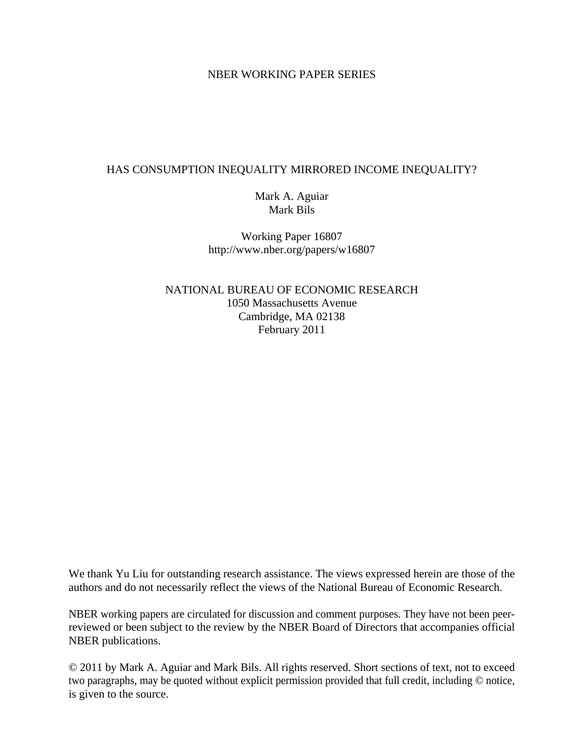### NBER WORKING PAPER SERIES

### HAS CONSUMPTION INEQUALITY MIRRORED INCOME INEQUALITY?

Mark A. Aguiar Mark Bils

Working Paper 16807 http://www.nber.org/papers/w16807

NATIONAL BUREAU OF ECONOMIC RESEARCH 1050 Massachusetts Avenue Cambridge, MA 02138 February 2011

We thank Yu Liu for outstanding research assistance. The views expressed herein are those of the authors and do not necessarily reflect the views of the National Bureau of Economic Research.

NBER working papers are circulated for discussion and comment purposes. They have not been peerreviewed or been subject to the review by the NBER Board of Directors that accompanies official NBER publications.

© 2011 by Mark A. Aguiar and Mark Bils. All rights reserved. Short sections of text, not to exceed two paragraphs, may be quoted without explicit permission provided that full credit, including © notice, is given to the source.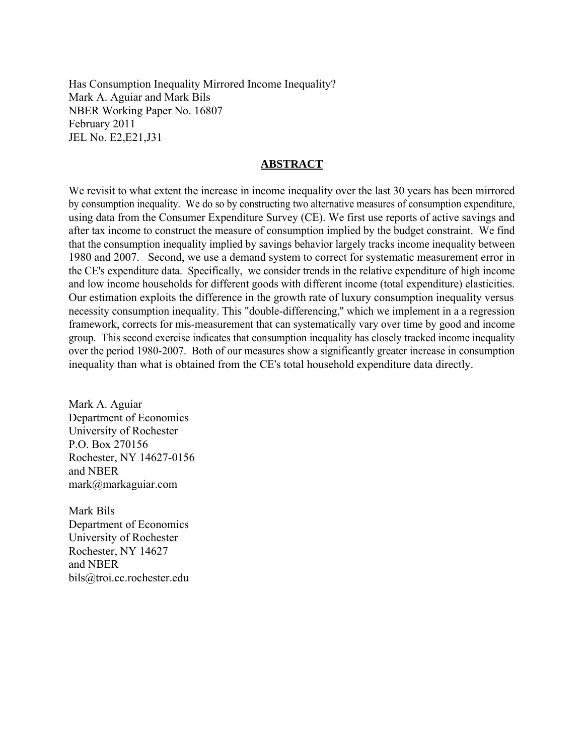Has Consumption Inequality Mirrored Income Inequality? Mark A. Aguiar and Mark Bils NBER Working Paper No. 16807 February 2011 JEL No. E2,E21,J31

### **ABSTRACT**

We revisit to what extent the increase in income inequality over the last 30 years has been mirrored by consumption inequality. We do so by constructing two alternative measures of consumption expenditure, using data from the Consumer Expenditure Survey (CE). We first use reports of active savings and after tax income to construct the measure of consumption implied by the budget constraint. We find that the consumption inequality implied by savings behavior largely tracks income inequality between 1980 and 2007. Second, we use a demand system to correct for systematic measurement error in the CE's expenditure data. Specifically, we consider trends in the relative expenditure of high income and low income households for different goods with different income (total expenditure) elasticities. Our estimation exploits the difference in the growth rate of luxury consumption inequality versus necessity consumption inequality. This "double-differencing,'' which we implement in a a regression framework, corrects for mis-measurement that can systematically vary over time by good and income group. This second exercise indicates that consumption inequality has closely tracked income inequality over the period 1980-2007. Both of our measures show a significantly greater increase in consumption inequality than what is obtained from the CE's total household expenditure data directly.

Mark A. Aguiar Department of Economics University of Rochester P.O. Box 270156 Rochester, NY 14627-0156 and NBER mark@markaguiar.com

Mark Bils Department of Economics University of Rochester Rochester, NY 14627 and NBER bils@troi.cc.rochester.edu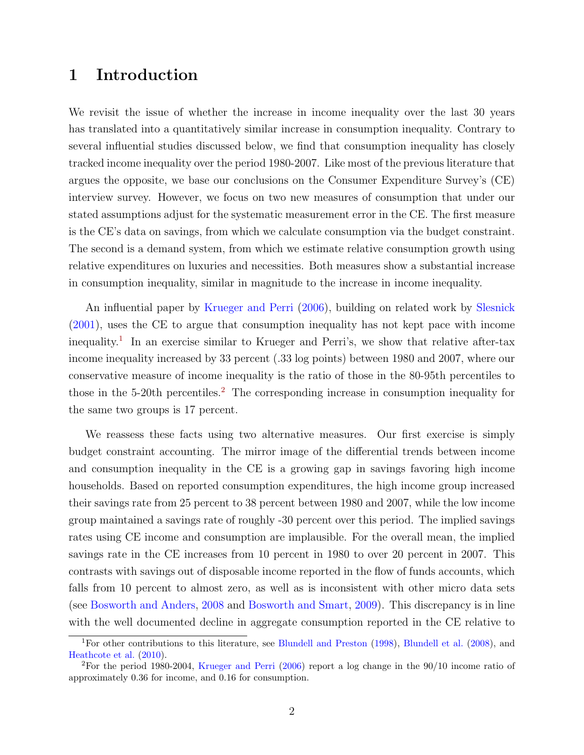## 1 Introduction

We revisit the issue of whether the increase in income inequality over the last 30 years has translated into a quantitatively similar increase in consumption inequality. Contrary to several influential studies discussed below, we find that consumption inequality has closely tracked income inequality over the period 1980-2007. Like most of the previous literature that argues the opposite, we base our conclusions on the Consumer Expenditure Survey's (CE) interview survey. However, we focus on two new measures of consumption that under our stated assumptions adjust for the systematic measurement error in the CE. The first measure is the CE's data on savings, from which we calculate consumption via the budget constraint. The second is a demand system, from which we estimate relative consumption growth using relative expenditures on luxuries and necessities. Both measures show a substantial increase in consumption inequality, similar in magnitude to the increase in income inequality.

An influential paper by [Krueger and Perri](#page-28-0) [\(2006\)](#page-28-0), building on related work by [Slesnick](#page-29-0) [\(2001\)](#page-29-0), uses the CE to argue that consumption inequality has not kept pace with income inequality.<sup>[1](#page-2-0)</sup> In an exercise similar to Krueger and Perri's, we show that relative after-tax income inequality increased by 33 percent (.33 log points) between 1980 and 2007, where our conservative measure of income inequality is the ratio of those in the 80-95th percentiles to those in the 5-[2](#page-2-1)0th percentiles.<sup>2</sup> The corresponding increase in consumption inequality for the same two groups is 17 percent.

We reassess these facts using two alternative measures. Our first exercise is simply budget constraint accounting. The mirror image of the differential trends between income and consumption inequality in the CE is a growing gap in savings favoring high income households. Based on reported consumption expenditures, the high income group increased their savings rate from 25 percent to 38 percent between 1980 and 2007, while the low income group maintained a savings rate of roughly -30 percent over this period. The implied savings rates using CE income and consumption are implausible. For the overall mean, the implied savings rate in the CE increases from 10 percent in 1980 to over 20 percent in 2007. This contrasts with savings out of disposable income reported in the flow of funds accounts, which falls from 10 percent to almost zero, as well as is inconsistent with other micro data sets (see [Bosworth and Anders,](#page-28-1) [2008](#page-28-1) and [Bosworth and Smart,](#page-28-2) [2009\)](#page-28-2). This discrepancy is in line with the well documented decline in aggregate consumption reported in the CE relative to

<span id="page-2-0"></span><sup>&</sup>lt;sup>1</sup>For other contributions to this literature, see [Blundell and Preston](#page-28-3) [\(1998\)](#page-28-3), [Blundell et al.](#page-28-4) [\(2008\)](#page-28-4), and [Heathcote et al.](#page-28-5) [\(2010\)](#page-28-5).

<span id="page-2-1"></span><sup>2</sup>For the period 1980-2004, [Krueger and Perri](#page-28-0) [\(2006\)](#page-28-0) report a log change in the 90/10 income ratio of approximately 0.36 for income, and 0.16 for consumption.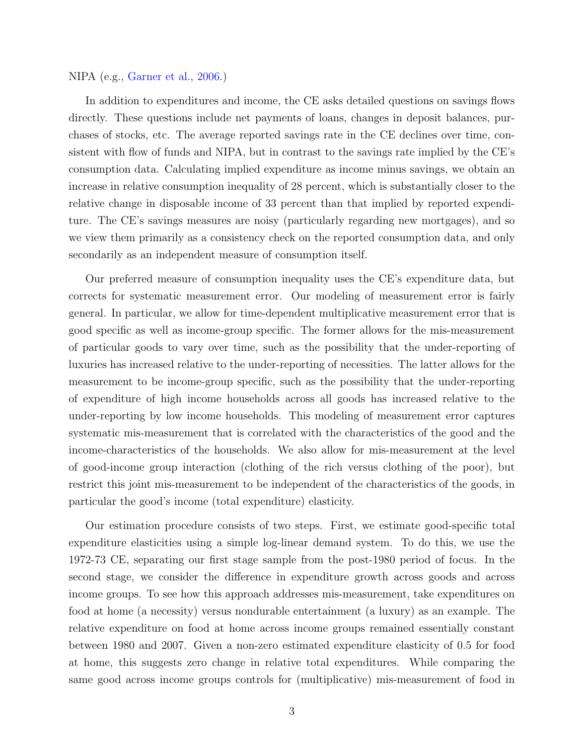#### NIPA (e.g., [Garner et al.,](#page-28-6) [2006.](#page-28-6))

In addition to expenditures and income, the CE asks detailed questions on savings flows directly. These questions include net payments of loans, changes in deposit balances, purchases of stocks, etc. The average reported savings rate in the CE declines over time, consistent with flow of funds and NIPA, but in contrast to the savings rate implied by the CE's consumption data. Calculating implied expenditure as income minus savings, we obtain an increase in relative consumption inequality of 28 percent, which is substantially closer to the relative change in disposable income of 33 percent than that implied by reported expenditure. The CE's savings measures are noisy (particularly regarding new mortgages), and so we view them primarily as a consistency check on the reported consumption data, and only secondarily as an independent measure of consumption itself.

Our preferred measure of consumption inequality uses the CE's expenditure data, but corrects for systematic measurement error. Our modeling of measurement error is fairly general. In particular, we allow for time-dependent multiplicative measurement error that is good specific as well as income-group specific. The former allows for the mis-measurement of particular goods to vary over time, such as the possibility that the under-reporting of luxuries has increased relative to the under-reporting of necessities. The latter allows for the measurement to be income-group specific, such as the possibility that the under-reporting of expenditure of high income households across all goods has increased relative to the under-reporting by low income households. This modeling of measurement error captures systematic mis-measurement that is correlated with the characteristics of the good and the income-characteristics of the households. We also allow for mis-measurement at the level of good-income group interaction (clothing of the rich versus clothing of the poor), but restrict this joint mis-measurement to be independent of the characteristics of the goods, in particular the good's income (total expenditure) elasticity.

Our estimation procedure consists of two steps. First, we estimate good-specific total expenditure elasticities using a simple log-linear demand system. To do this, we use the 1972-73 CE, separating our first stage sample from the post-1980 period of focus. In the second stage, we consider the difference in expenditure growth across goods and across income groups. To see how this approach addresses mis-measurement, take expenditures on food at home (a necessity) versus nondurable entertainment (a luxury) as an example. The relative expenditure on food at home across income groups remained essentially constant between 1980 and 2007. Given a non-zero estimated expenditure elasticity of 0.5 for food at home, this suggests zero change in relative total expenditures. While comparing the same good across income groups controls for (multiplicative) mis-measurement of food in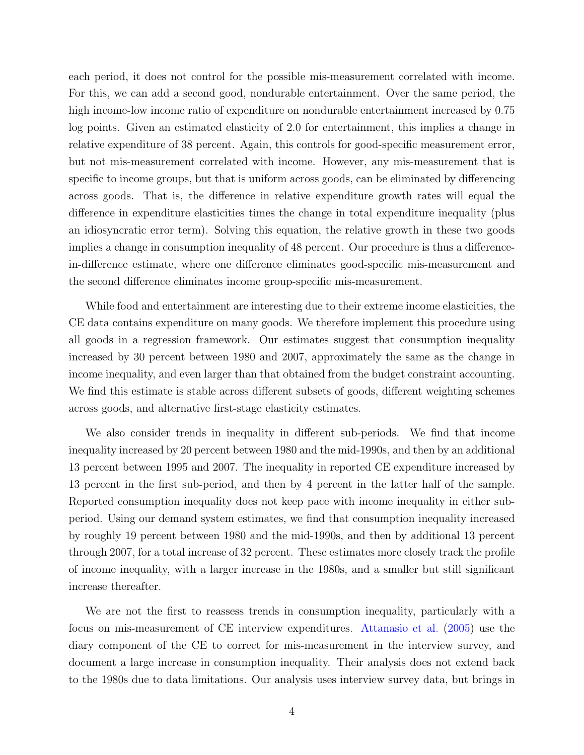each period, it does not control for the possible mis-measurement correlated with income. For this, we can add a second good, nondurable entertainment. Over the same period, the high income-low income ratio of expenditure on nondurable entertainment increased by 0.75 log points. Given an estimated elasticity of 2.0 for entertainment, this implies a change in relative expenditure of 38 percent. Again, this controls for good-specific measurement error, but not mis-measurement correlated with income. However, any mis-measurement that is specific to income groups, but that is uniform across goods, can be eliminated by differencing across goods. That is, the difference in relative expenditure growth rates will equal the difference in expenditure elasticities times the change in total expenditure inequality (plus an idiosyncratic error term). Solving this equation, the relative growth in these two goods implies a change in consumption inequality of 48 percent. Our procedure is thus a differencein-difference estimate, where one difference eliminates good-specific mis-measurement and the second difference eliminates income group-specific mis-measurement.

While food and entertainment are interesting due to their extreme income elasticities, the CE data contains expenditure on many goods. We therefore implement this procedure using all goods in a regression framework. Our estimates suggest that consumption inequality increased by 30 percent between 1980 and 2007, approximately the same as the change in income inequality, and even larger than that obtained from the budget constraint accounting. We find this estimate is stable across different subsets of goods, different weighting schemes across goods, and alternative first-stage elasticity estimates.

We also consider trends in inequality in different sub-periods. We find that income inequality increased by 20 percent between 1980 and the mid-1990s, and then by an additional 13 percent between 1995 and 2007. The inequality in reported CE expenditure increased by 13 percent in the first sub-period, and then by 4 percent in the latter half of the sample. Reported consumption inequality does not keep pace with income inequality in either subperiod. Using our demand system estimates, we find that consumption inequality increased by roughly 19 percent between 1980 and the mid-1990s, and then by additional 13 percent through 2007, for a total increase of 32 percent. These estimates more closely track the profile of income inequality, with a larger increase in the 1980s, and a smaller but still significant increase thereafter.

We are not the first to reassess trends in consumption inequality, particularly with a focus on mis-measurement of CE interview expenditures. [Attanasio et al.](#page-27-0) [\(2005\)](#page-27-0) use the diary component of the CE to correct for mis-measurement in the interview survey, and document a large increase in consumption inequality. Their analysis does not extend back to the 1980s due to data limitations. Our analysis uses interview survey data, but brings in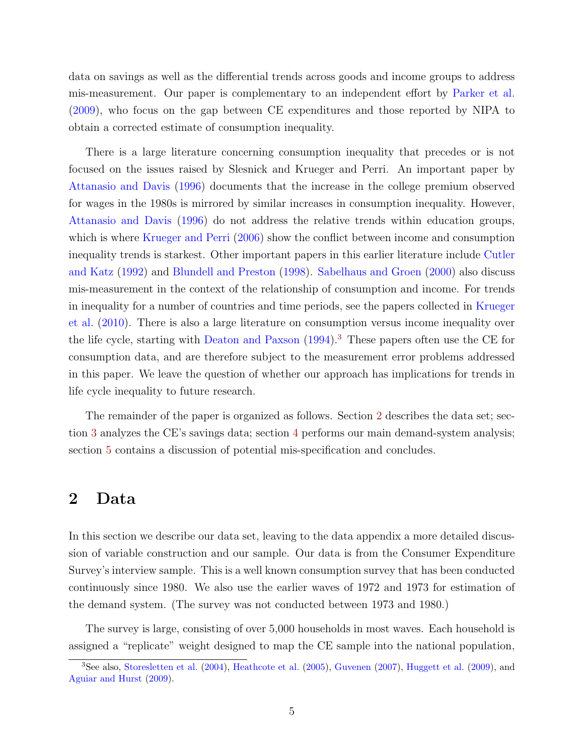data on savings as well as the differential trends across goods and income groups to address mis-measurement. Our paper is complementary to an independent effort by [Parker et al.](#page-29-1) [\(2009\)](#page-29-1), who focus on the gap between CE expenditures and those reported by NIPA to obtain a corrected estimate of consumption inequality.

There is a large literature concerning consumption inequality that precedes or is not focused on the issues raised by Slesnick and Krueger and Perri. An important paper by [Attanasio and Davis](#page-27-1) [\(1996\)](#page-27-1) documents that the increase in the college premium observed for wages in the 1980s is mirrored by similar increases in consumption inequality. However, [Attanasio and Davis](#page-27-1) [\(1996\)](#page-27-1) do not address the relative trends within education groups, which is where [Krueger and Perri](#page-28-0) [\(2006\)](#page-28-0) show the conflict between income and consumption inequality trends is starkest. Other important papers in this earlier literature include [Cutler](#page-28-7) [and Katz](#page-28-7) [\(1992\)](#page-28-7) and [Blundell and Preston](#page-28-3) [\(1998\)](#page-28-3). [Sabelhaus and Groen](#page-29-2) [\(2000\)](#page-29-2) also discuss mis-measurement in the context of the relationship of consumption and income. For trends in inequality for a number of countries and time periods, see the papers collected in [Krueger](#page-28-8) [et al.](#page-28-8) [\(2010\)](#page-28-8). There is also a large literature on consumption versus income inequality over the life cycle, starting with [Deaton and Paxson](#page-28-9)  $(1994)$ .<sup>[3](#page-5-0)</sup> These papers often use the CE for consumption data, and are therefore subject to the measurement error problems addressed in this paper. We leave the question of whether our approach has implications for trends in life cycle inequality to future research.

The remainder of the paper is organized as follows. Section [2](#page-5-1) describes the data set; section [3](#page-10-0) analyzes the CE's savings data; section [4](#page-14-0) performs our main demand-system analysis; section [5](#page-21-0) contains a discussion of potential mis-specification and concludes.

## <span id="page-5-1"></span>2 Data

In this section we describe our data set, leaving to the data appendix a more detailed discussion of variable construction and our sample. Our data is from the Consumer Expenditure Survey's interview sample. This is a well known consumption survey that has been conducted continuously since 1980. We also use the earlier waves of 1972 and 1973 for estimation of the demand system. (The survey was not conducted between 1973 and 1980.)

The survey is large, consisting of over 5,000 households in most waves. Each household is assigned a "replicate" weight designed to map the CE sample into the national population,

<span id="page-5-0"></span><sup>3</sup>See also, [Storesletten et al.](#page-29-3) [\(2004\)](#page-29-3), [Heathcote et al.](#page-28-10) [\(2005\)](#page-28-10), [Guvenen](#page-28-11) [\(2007\)](#page-28-11), [Huggett et al.](#page-28-12) [\(2009\)](#page-28-12), and [Aguiar and Hurst](#page-27-2) [\(2009\)](#page-27-2).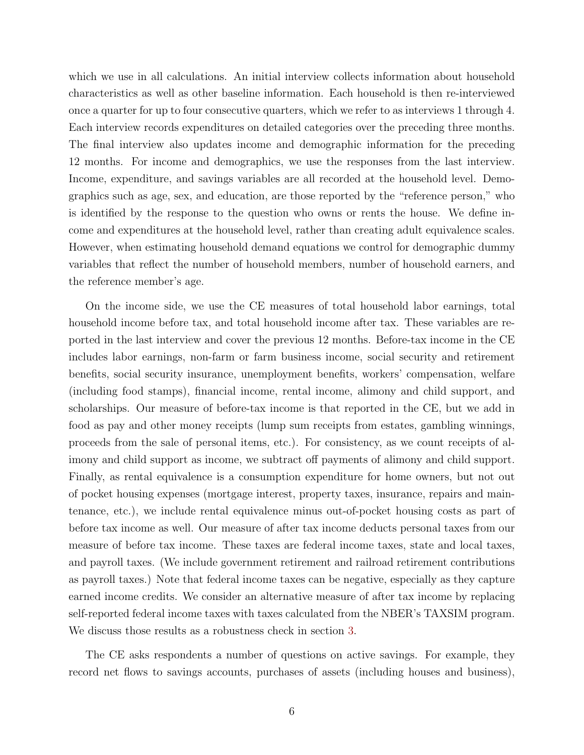which we use in all calculations. An initial interview collects information about household characteristics as well as other baseline information. Each household is then re-interviewed once a quarter for up to four consecutive quarters, which we refer to as interviews 1 through 4. Each interview records expenditures on detailed categories over the preceding three months. The final interview also updates income and demographic information for the preceding 12 months. For income and demographics, we use the responses from the last interview. Income, expenditure, and savings variables are all recorded at the household level. Demographics such as age, sex, and education, are those reported by the "reference person," who is identified by the response to the question who owns or rents the house. We define income and expenditures at the household level, rather than creating adult equivalence scales. However, when estimating household demand equations we control for demographic dummy variables that reflect the number of household members, number of household earners, and the reference member's age.

On the income side, we use the CE measures of total household labor earnings, total household income before tax, and total household income after tax. These variables are reported in the last interview and cover the previous 12 months. Before-tax income in the CE includes labor earnings, non-farm or farm business income, social security and retirement benefits, social security insurance, unemployment benefits, workers' compensation, welfare (including food stamps), financial income, rental income, alimony and child support, and scholarships. Our measure of before-tax income is that reported in the CE, but we add in food as pay and other money receipts (lump sum receipts from estates, gambling winnings, proceeds from the sale of personal items, etc.). For consistency, as we count receipts of alimony and child support as income, we subtract off payments of alimony and child support. Finally, as rental equivalence is a consumption expenditure for home owners, but not out of pocket housing expenses (mortgage interest, property taxes, insurance, repairs and maintenance, etc.), we include rental equivalence minus out-of-pocket housing costs as part of before tax income as well. Our measure of after tax income deducts personal taxes from our measure of before tax income. These taxes are federal income taxes, state and local taxes, and payroll taxes. (We include government retirement and railroad retirement contributions as payroll taxes.) Note that federal income taxes can be negative, especially as they capture earned income credits. We consider an alternative measure of after tax income by replacing self-reported federal income taxes with taxes calculated from the NBER's TAXSIM program. We discuss those results as a robustness check in section [3.](#page-10-0)

The CE asks respondents a number of questions on active savings. For example, they record net flows to savings accounts, purchases of assets (including houses and business),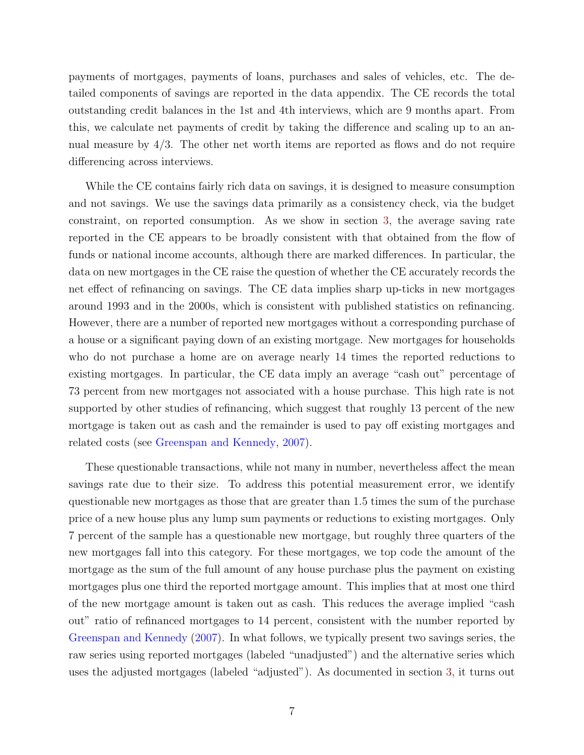payments of mortgages, payments of loans, purchases and sales of vehicles, etc. The detailed components of savings are reported in the data appendix. The CE records the total outstanding credit balances in the 1st and 4th interviews, which are 9 months apart. From this, we calculate net payments of credit by taking the difference and scaling up to an annual measure by 4/3. The other net worth items are reported as flows and do not require differencing across interviews.

While the CE contains fairly rich data on savings, it is designed to measure consumption and not savings. We use the savings data primarily as a consistency check, via the budget constraint, on reported consumption. As we show in section [3,](#page-10-0) the average saving rate reported in the CE appears to be broadly consistent with that obtained from the flow of funds or national income accounts, although there are marked differences. In particular, the data on new mortgages in the CE raise the question of whether the CE accurately records the net effect of refinancing on savings. The CE data implies sharp up-ticks in new mortgages around 1993 and in the 2000s, which is consistent with published statistics on refinancing. However, there are a number of reported new mortgages without a corresponding purchase of a house or a significant paying down of an existing mortgage. New mortgages for households who do not purchase a home are on average nearly 14 times the reported reductions to existing mortgages. In particular, the CE data imply an average "cash out" percentage of 73 percent from new mortgages not associated with a house purchase. This high rate is not supported by other studies of refinancing, which suggest that roughly 13 percent of the new mortgage is taken out as cash and the remainder is used to pay off existing mortgages and related costs (see [Greenspan and Kennedy,](#page-28-13) [2007\)](#page-28-13).

These questionable transactions, while not many in number, nevertheless affect the mean savings rate due to their size. To address this potential measurement error, we identify questionable new mortgages as those that are greater than 1.5 times the sum of the purchase price of a new house plus any lump sum payments or reductions to existing mortgages. Only 7 percent of the sample has a questionable new mortgage, but roughly three quarters of the new mortgages fall into this category. For these mortgages, we top code the amount of the mortgage as the sum of the full amount of any house purchase plus the payment on existing mortgages plus one third the reported mortgage amount. This implies that at most one third of the new mortgage amount is taken out as cash. This reduces the average implied "cash out" ratio of refinanced mortgages to 14 percent, consistent with the number reported by [Greenspan and Kennedy](#page-28-13) [\(2007\)](#page-28-13). In what follows, we typically present two savings series, the raw series using reported mortgages (labeled "unadjusted") and the alternative series which uses the adjusted mortgages (labeled "adjusted"). As documented in section [3,](#page-10-0) it turns out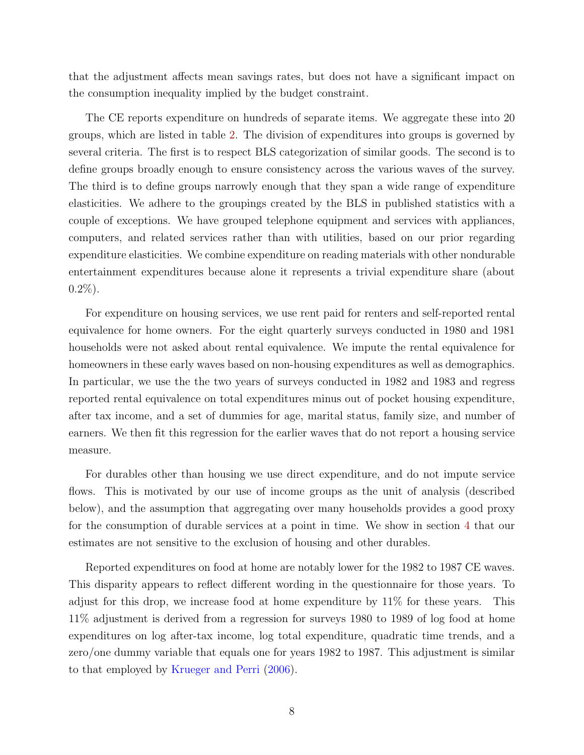that the adjustment affects mean savings rates, but does not have a significant impact on the consumption inequality implied by the budget constraint.

The CE reports expenditure on hundreds of separate items. We aggregate these into 20 groups, which are listed in table [2.](#page-31-0) The division of expenditures into groups is governed by several criteria. The first is to respect BLS categorization of similar goods. The second is to define groups broadly enough to ensure consistency across the various waves of the survey. The third is to define groups narrowly enough that they span a wide range of expenditure elasticities. We adhere to the groupings created by the BLS in published statistics with a couple of exceptions. We have grouped telephone equipment and services with appliances, computers, and related services rather than with utilities, based on our prior regarding expenditure elasticities. We combine expenditure on reading materials with other nondurable entertainment expenditures because alone it represents a trivial expenditure share (about  $0.2\%$ ).

For expenditure on housing services, we use rent paid for renters and self-reported rental equivalence for home owners. For the eight quarterly surveys conducted in 1980 and 1981 households were not asked about rental equivalence. We impute the rental equivalence for homeowners in these early waves based on non-housing expenditures as well as demographics. In particular, we use the the two years of surveys conducted in 1982 and 1983 and regress reported rental equivalence on total expenditures minus out of pocket housing expenditure, after tax income, and a set of dummies for age, marital status, family size, and number of earners. We then fit this regression for the earlier waves that do not report a housing service measure.

For durables other than housing we use direct expenditure, and do not impute service flows. This is motivated by our use of income groups as the unit of analysis (described below), and the assumption that aggregating over many households provides a good proxy for the consumption of durable services at a point in time. We show in section [4](#page-14-0) that our estimates are not sensitive to the exclusion of housing and other durables.

Reported expenditures on food at home are notably lower for the 1982 to 1987 CE waves. This disparity appears to reflect different wording in the questionnaire for those years. To adjust for this drop, we increase food at home expenditure by 11% for these years. This 11% adjustment is derived from a regression for surveys 1980 to 1989 of log food at home expenditures on log after-tax income, log total expenditure, quadratic time trends, and a zero/one dummy variable that equals one for years 1982 to 1987. This adjustment is similar to that employed by [Krueger and Perri](#page-28-0) [\(2006\)](#page-28-0).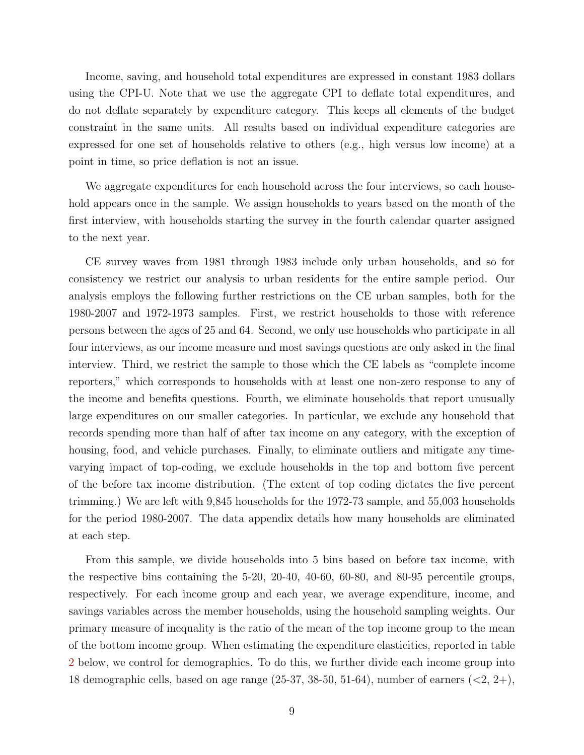Income, saving, and household total expenditures are expressed in constant 1983 dollars using the CPI-U. Note that we use the aggregate CPI to deflate total expenditures, and do not deflate separately by expenditure category. This keeps all elements of the budget constraint in the same units. All results based on individual expenditure categories are expressed for one set of households relative to others (e.g., high versus low income) at a point in time, so price deflation is not an issue.

We aggregate expenditures for each household across the four interviews, so each household appears once in the sample. We assign households to years based on the month of the first interview, with households starting the survey in the fourth calendar quarter assigned to the next year.

CE survey waves from 1981 through 1983 include only urban households, and so for consistency we restrict our analysis to urban residents for the entire sample period. Our analysis employs the following further restrictions on the CE urban samples, both for the 1980-2007 and 1972-1973 samples. First, we restrict households to those with reference persons between the ages of 25 and 64. Second, we only use households who participate in all four interviews, as our income measure and most savings questions are only asked in the final interview. Third, we restrict the sample to those which the CE labels as "complete income reporters," which corresponds to households with at least one non-zero response to any of the income and benefits questions. Fourth, we eliminate households that report unusually large expenditures on our smaller categories. In particular, we exclude any household that records spending more than half of after tax income on any category, with the exception of housing, food, and vehicle purchases. Finally, to eliminate outliers and mitigate any timevarying impact of top-coding, we exclude households in the top and bottom five percent of the before tax income distribution. (The extent of top coding dictates the five percent trimming.) We are left with 9,845 households for the 1972-73 sample, and 55,003 households for the period 1980-2007. The data appendix details how many households are eliminated at each step.

From this sample, we divide households into 5 bins based on before tax income, with the respective bins containing the 5-20, 20-40, 40-60, 60-80, and 80-95 percentile groups, respectively. For each income group and each year, we average expenditure, income, and savings variables across the member households, using the household sampling weights. Our primary measure of inequality is the ratio of the mean of the top income group to the mean of the bottom income group. When estimating the expenditure elasticities, reported in table [2](#page-31-0) below, we control for demographics. To do this, we further divide each income group into 18 demographic cells, based on age range  $(25-37, 38-50, 51-64)$ , number of earners  $(<2, 2+$ ),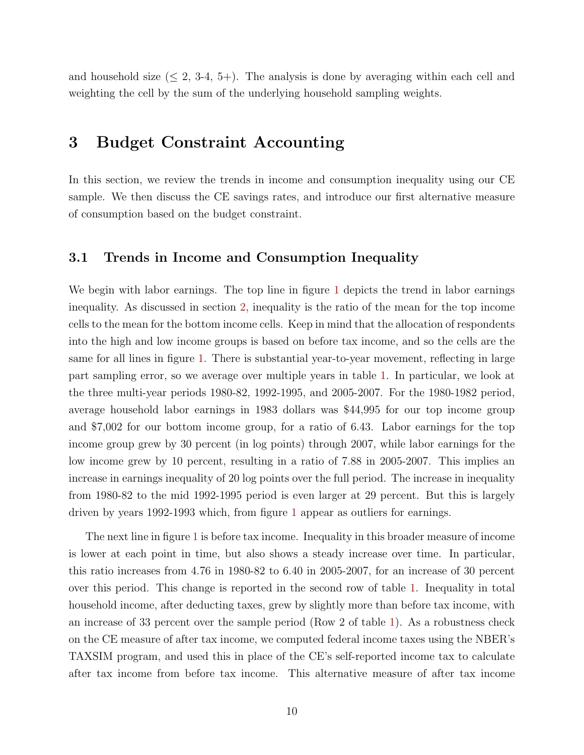and household size  $(5, 2, 3-4, 5+)$ . The analysis is done by averaging within each cell and weighting the cell by the sum of the underlying household sampling weights.

## <span id="page-10-0"></span>3 Budget Constraint Accounting

In this section, we review the trends in income and consumption inequality using our CE sample. We then discuss the CE savings rates, and introduce our first alternative measure of consumption based on the budget constraint.

### <span id="page-10-1"></span>3.1 Trends in Income and Consumption Inequality

We begin with labor earnings. The top line in figure [1](#page-35-0) depicts the trend in labor earnings inequality. As discussed in section [2,](#page-5-1) inequality is the ratio of the mean for the top income cells to the mean for the bottom income cells. Keep in mind that the allocation of respondents into the high and low income groups is based on before tax income, and so the cells are the same for all lines in figure [1.](#page-35-0) There is substantial year-to-year movement, reflecting in large part sampling error, so we average over multiple years in table [1.](#page-30-0) In particular, we look at the three multi-year periods 1980-82, 1992-1995, and 2005-2007. For the 1980-1982 period, average household labor earnings in 1983 dollars was \$44,995 for our top income group and \$7,002 for our bottom income group, for a ratio of 6.43. Labor earnings for the top income group grew by 30 percent (in log points) through 2007, while labor earnings for the low income grew by 10 percent, resulting in a ratio of 7.88 in 2005-2007. This implies an increase in earnings inequality of 20 log points over the full period. The increase in inequality from 1980-82 to the mid 1992-1995 period is even larger at 29 percent. But this is largely driven by years 1992-1993 which, from figure [1](#page-35-0) appear as outliers for earnings.

The next line in figure [1](#page-35-0) is before tax income. Inequality in this broader measure of income is lower at each point in time, but also shows a steady increase over time. In particular, this ratio increases from 4.76 in 1980-82 to 6.40 in 2005-2007, for an increase of 30 percent over this period. This change is reported in the second row of table [1.](#page-30-0) Inequality in total household income, after deducting taxes, grew by slightly more than before tax income, with an increase of 33 percent over the sample period (Row 2 of table [1\)](#page-30-0). As a robustness check on the CE measure of after tax income, we computed federal income taxes using the NBER's TAXSIM program, and used this in place of the CE's self-reported income tax to calculate after tax income from before tax income. This alternative measure of after tax income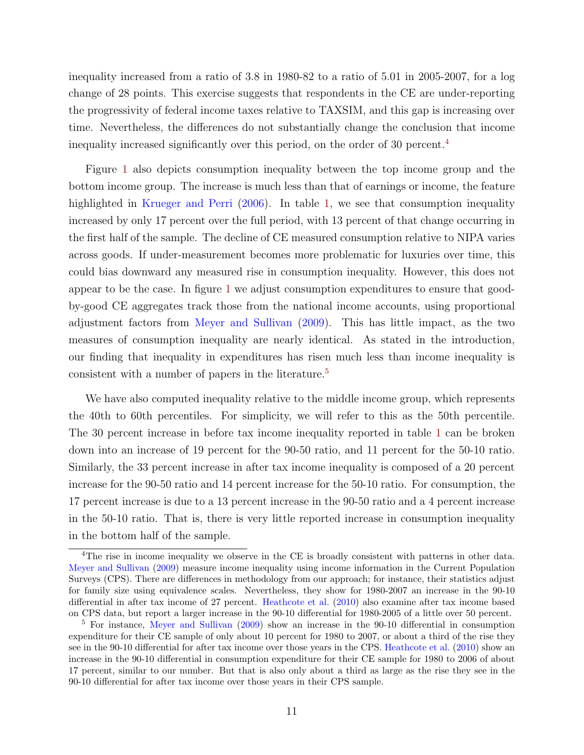inequality increased from a ratio of 3.8 in 1980-82 to a ratio of 5.01 in 2005-2007, for a log change of 28 points. This exercise suggests that respondents in the CE are under-reporting the progressivity of federal income taxes relative to TAXSIM, and this gap is increasing over time. Nevertheless, the differences do not substantially change the conclusion that income inequality increased significantly over this period, on the order of 30 percent.[4](#page-11-0)

Figure [1](#page-35-0) also depicts consumption inequality between the top income group and the bottom income group. The increase is much less than that of earnings or income, the feature highlighted in [Krueger and Perri](#page-28-0) [\(2006\)](#page-28-0). In table [1,](#page-30-0) we see that consumption inequality increased by only 17 percent over the full period, with 13 percent of that change occurring in the first half of the sample. The decline of CE measured consumption relative to NIPA varies across goods. If under-measurement becomes more problematic for luxuries over time, this could bias downward any measured rise in consumption inequality. However, this does not appear to be the case. In figure [1](#page-35-0) we adjust consumption expenditures to ensure that goodby-good CE aggregates track those from the national income accounts, using proportional adjustment factors from [Meyer and Sullivan](#page-28-14) [\(2009\)](#page-28-14). This has little impact, as the two measures of consumption inequality are nearly identical. As stated in the introduction, our finding that inequality in expenditures has risen much less than income inequality is consistent with a number of papers in the literature.<sup>[5](#page-11-1)</sup>

We have also computed inequality relative to the middle income group, which represents the 40th to 60th percentiles. For simplicity, we will refer to this as the 50th percentile. The 30 percent increase in before tax income inequality reported in table [1](#page-30-0) can be broken down into an increase of 19 percent for the 90-50 ratio, and 11 percent for the 50-10 ratio. Similarly, the 33 percent increase in after tax income inequality is composed of a 20 percent increase for the 90-50 ratio and 14 percent increase for the 50-10 ratio. For consumption, the 17 percent increase is due to a 13 percent increase in the 90-50 ratio and a 4 percent increase in the 50-10 ratio. That is, there is very little reported increase in consumption inequality in the bottom half of the sample.

<span id="page-11-0"></span><sup>&</sup>lt;sup>4</sup>The rise in income inequality we observe in the CE is broadly consistent with patterns in other data. [Meyer and Sullivan](#page-28-14) [\(2009\)](#page-28-14) measure income inequality using income information in the Current Population Surveys (CPS). There are differences in methodology from our approach; for instance, their statistics adjust for family size using equivalence scales. Nevertheless, they show for 1980-2007 an increase in the 90-10 differential in after tax income of 27 percent. [Heathcote et al.](#page-28-5) [\(2010\)](#page-28-5) also examine after tax income based on CPS data, but report a larger increase in the 90-10 differential for 1980-2005 of a little over 50 percent.

<span id="page-11-1"></span><sup>5</sup> For instance, [Meyer and Sullivan](#page-28-14) [\(2009\)](#page-28-14) show an increase in the 90-10 differential in consumption expenditure for their CE sample of only about 10 percent for 1980 to 2007, or about a third of the rise they see in the 90-10 differential for after tax income over those years in the CPS. [Heathcote et al.](#page-28-5) [\(2010\)](#page-28-5) show an increase in the 90-10 differential in consumption expenditure for their CE sample for 1980 to 2006 of about 17 percent, similar to our number. But that is also only about a third as large as the rise they see in the 90-10 differential for after tax income over those years in their CPS sample.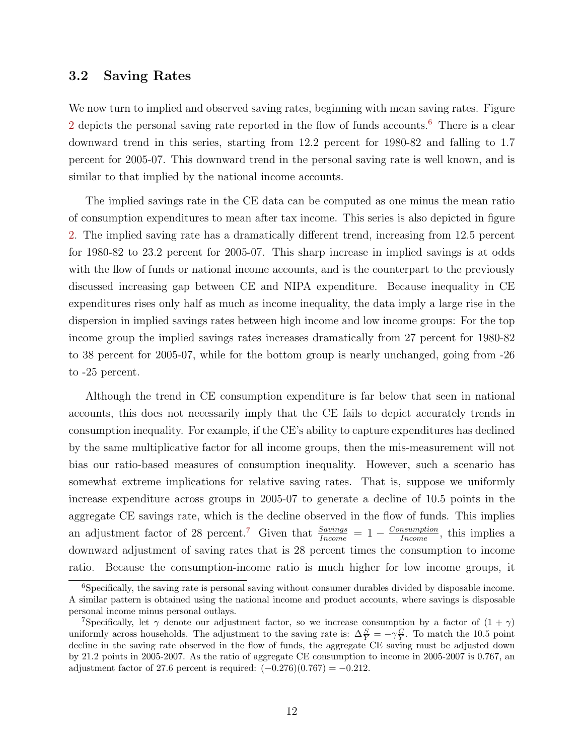### 3.2 Saving Rates

We now turn to implied and observed saving rates, beginning with mean saving rates. Figure [2](#page-36-0) depicts the personal saving rate reported in the flow of funds accounts.<sup>[6](#page-12-0)</sup> There is a clear downward trend in this series, starting from 12.2 percent for 1980-82 and falling to 1.7 percent for 2005-07. This downward trend in the personal saving rate is well known, and is similar to that implied by the national income accounts.

The implied savings rate in the CE data can be computed as one minus the mean ratio of consumption expenditures to mean after tax income. This series is also depicted in figure [2.](#page-36-0) The implied saving rate has a dramatically different trend, increasing from 12.5 percent for 1980-82 to 23.2 percent for 2005-07. This sharp increase in implied savings is at odds with the flow of funds or national income accounts, and is the counterpart to the previously discussed increasing gap between CE and NIPA expenditure. Because inequality in CE expenditures rises only half as much as income inequality, the data imply a large rise in the dispersion in implied savings rates between high income and low income groups: For the top income group the implied savings rates increases dramatically from 27 percent for 1980-82 to 38 percent for 2005-07, while for the bottom group is nearly unchanged, going from -26 to -25 percent.

Although the trend in CE consumption expenditure is far below that seen in national accounts, this does not necessarily imply that the CE fails to depict accurately trends in consumption inequality. For example, if the CE's ability to capture expenditures has declined by the same multiplicative factor for all income groups, then the mis-measurement will not bias our ratio-based measures of consumption inequality. However, such a scenario has somewhat extreme implications for relative saving rates. That is, suppose we uniformly increase expenditure across groups in 2005-07 to generate a decline of 10.5 points in the aggregate CE savings rate, which is the decline observed in the flow of funds. This implies an adjustment factor of 28 percent.<sup>[7](#page-12-1)</sup> Given that  $\frac{Savings}{Income} = 1 - \frac{Consummin}{Income}$ , this implies a downward adjustment of saving rates that is 28 percent times the consumption to income ratio. Because the consumption-income ratio is much higher for low income groups, it

<span id="page-12-0"></span><sup>6</sup>Specifically, the saving rate is personal saving without consumer durables divided by disposable income. A similar pattern is obtained using the national income and product accounts, where savings is disposable personal income minus personal outlays.

<span id="page-12-1"></span><sup>&</sup>lt;sup>7</sup>Specifically, let  $\gamma$  denote our adjustment factor, so we increase consumption by a factor of  $(1 + \gamma)$ uniformly across households. The adjustment to the saving rate is:  $\Delta \frac{S}{Y} = -\gamma \frac{C}{Y}$ . To match the 10.5 point decline in the saving rate observed in the flow of funds, the aggregate CE saving must be adjusted down by 21.2 points in 2005-2007. As the ratio of aggregate CE consumption to income in 2005-2007 is 0.767, an adjustment factor of 27.6 percent is required:  $(-0.276)(0.767) = -0.212$ .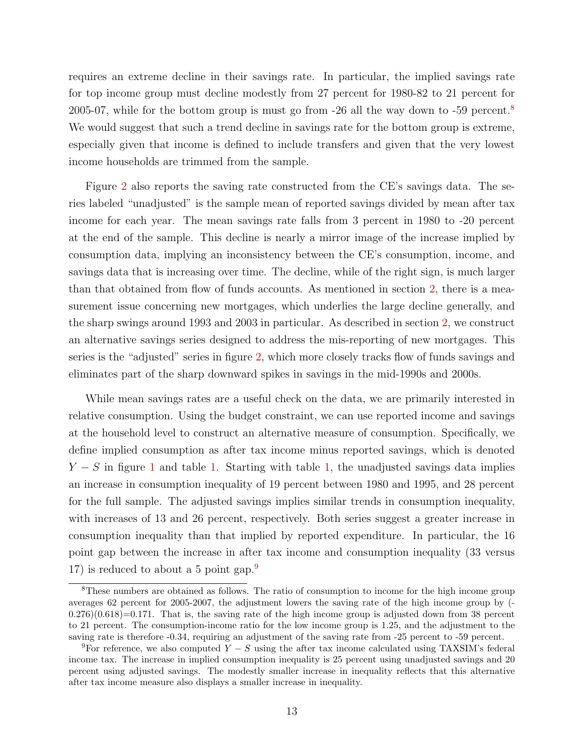requires an extreme decline in their savings rate. In particular, the implied savings rate for top income group must decline modestly from 27 percent for 1980-82 to 21 percent for 2005-07, while for the bottom group is must go from -26 all the way down to -59 percent.[8](#page-13-0) We would suggest that such a trend decline in savings rate for the bottom group is extreme, especially given that income is defined to include transfers and given that the very lowest income households are trimmed from the sample.

Figure [2](#page-36-0) also reports the saving rate constructed from the CE's savings data. The series labeled "unadjusted" is the sample mean of reported savings divided by mean after tax income for each year. The mean savings rate falls from 3 percent in 1980 to -20 percent at the end of the sample. This decline is nearly a mirror image of the increase implied by consumption data, implying an inconsistency between the CE's consumption, income, and savings data that is increasing over time. The decline, while of the right sign, is much larger than that obtained from flow of funds accounts. As mentioned in section [2,](#page-5-1) there is a measurement issue concerning new mortgages, which underlies the large decline generally, and the sharp swings around 1993 and 2003 in particular. As described in section [2,](#page-5-1) we construct an alternative savings series designed to address the mis-reporting of new mortgages. This series is the "adjusted" series in figure [2,](#page-36-0) which more closely tracks flow of funds savings and eliminates part of the sharp downward spikes in savings in the mid-1990s and 2000s.

While mean savings rates are a useful check on the data, we are primarily interested in relative consumption. Using the budget constraint, we can use reported income and savings at the household level to construct an alternative measure of consumption. Specifically, we define implied consumption as after tax income minus reported savings, which is denoted  $Y - S$  in figure [1](#page-35-0) and table [1.](#page-30-0) Starting with table [1,](#page-30-0) the unadjusted savings data implies an increase in consumption inequality of 19 percent between 1980 and 1995, and 28 percent for the full sample. The adjusted savings implies similar trends in consumption inequality, with increases of 13 and 26 percent, respectively. Both series suggest a greater increase in consumption inequality than that implied by reported expenditure. In particular, the 16 point gap between the increase in after tax income and consumption inequality (33 versus 17) is reduced to about a 5 point gap.<sup>[9](#page-13-1)</sup>

<span id="page-13-0"></span><sup>&</sup>lt;sup>8</sup>These numbers are obtained as follows. The ratio of consumption to income for the high income group averages 62 percent for 2005-2007, the adjustment lowers the saving rate of the high income group by (-  $(0.276)(0.618)=0.171$ . That is, the saving rate of the high income group is adjusted down from 38 percent to 21 percent. The consumption-income ratio for the low income group is 1.25, and the adjustment to the saving rate is therefore -0.34, requiring an adjustment of the saving rate from -25 percent to -59 percent.

<span id="page-13-1"></span><sup>&</sup>lt;sup>9</sup>For reference, we also computed  $Y - S$  using the after tax income calculated using TAXSIM's federal income tax. The increase in implied consumption inequality is 25 percent using unadjusted savings and 20 percent using adjusted savings. The modestly smaller increase in inequality reflects that this alternative after tax income measure also displays a smaller increase in inequality.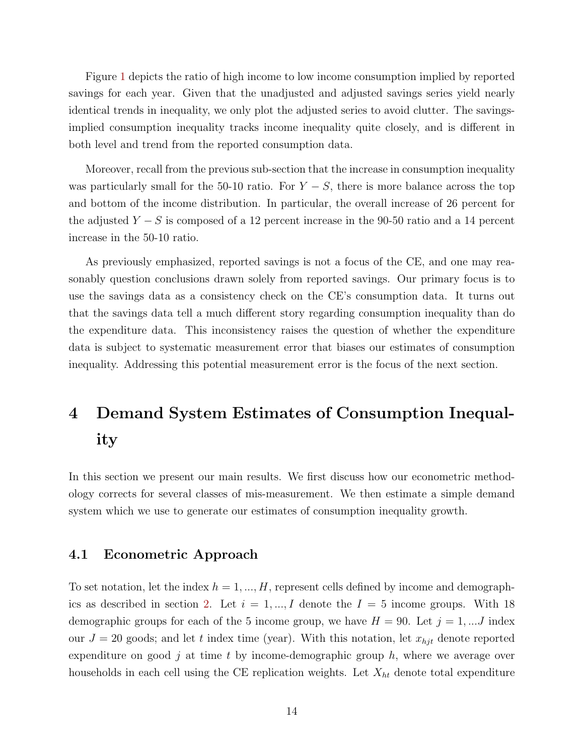Figure [1](#page-35-0) depicts the ratio of high income to low income consumption implied by reported savings for each year. Given that the unadjusted and adjusted savings series yield nearly identical trends in inequality, we only plot the adjusted series to avoid clutter. The savingsimplied consumption inequality tracks income inequality quite closely, and is different in both level and trend from the reported consumption data.

Moreover, recall from the previous sub-section that the increase in consumption inequality was particularly small for the 50-10 ratio. For  $Y - S$ , there is more balance across the top and bottom of the income distribution. In particular, the overall increase of 26 percent for the adjusted  $Y - S$  is composed of a 12 percent increase in the 90-50 ratio and a 14 percent increase in the 50-10 ratio.

As previously emphasized, reported savings is not a focus of the CE, and one may reasonably question conclusions drawn solely from reported savings. Our primary focus is to use the savings data as a consistency check on the CE's consumption data. It turns out that the savings data tell a much different story regarding consumption inequality than do the expenditure data. This inconsistency raises the question of whether the expenditure data is subject to systematic measurement error that biases our estimates of consumption inequality. Addressing this potential measurement error is the focus of the next section.

# <span id="page-14-0"></span>4 Demand System Estimates of Consumption Inequality

In this section we present our main results. We first discuss how our econometric methodology corrects for several classes of mis-measurement. We then estimate a simple demand system which we use to generate our estimates of consumption inequality growth.

### 4.1 Econometric Approach

To set notation, let the index  $h = 1, ..., H$ , represent cells defined by income and demograph-ics as described in section [2.](#page-5-1) Let  $i = 1, ..., I$  denote the  $I = 5$  income groups. With 18 demographic groups for each of the 5 income group, we have  $H = 90$ . Let  $j = 1, ...J$  index our  $J = 20$  goods; and let t index time (year). With this notation, let  $x_{hjt}$  denote reported expenditure on good  $j$  at time  $t$  by income-demographic group  $h$ , where we average over households in each cell using the CE replication weights. Let  $X_{ht}$  denote total expenditure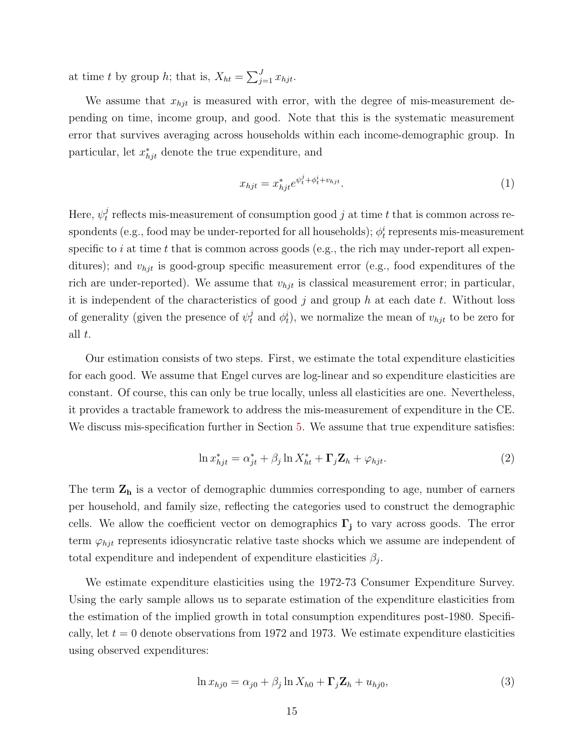at time t by group h; that is,  $X_{ht} = \sum_{j=1}^{J} x_{hjt}$ .

We assume that  $x_{hjt}$  is measured with error, with the degree of mis-measurement depending on time, income group, and good. Note that this is the systematic measurement error that survives averaging across households within each income-demographic group. In particular, let  $x_{hjt}^*$  denote the true expenditure, and

$$
x_{hjt} = x_{hjt}^* e^{\psi_t^j + \phi_t^i + v_{hjt}}.
$$
\n<sup>(1)</sup>

Here,  $\psi_t^j$  $t<sub>t</sub>$  reflects mis-measurement of consumption good j at time t that is common across respondents (e.g., food may be under-reported for all households);  $\phi_t^i$  represents mis-measurement specific to i at time t that is common across goods (e.g., the rich may under-report all expenditures); and  $v_{hjt}$  is good-group specific measurement error (e.g., food expenditures of the rich are under-reported). We assume that  $v_{hjt}$  is classical measurement error; in particular, it is independent of the characteristics of good  $j$  and group  $h$  at each date  $t$ . Without loss of generality (given the presence of  $\psi_t^j$  and  $\phi_t^i$ ), we normalize the mean of  $v_{hjt}$  to be zero for all  $t$ .

Our estimation consists of two steps. First, we estimate the total expenditure elasticities for each good. We assume that Engel curves are log-linear and so expenditure elasticities are constant. Of course, this can only be true locally, unless all elasticities are one. Nevertheless, it provides a tractable framework to address the mis-measurement of expenditure in the CE. We discuss mis-specification further in Section [5.](#page-21-0) We assume that true expenditure satisfies:

<span id="page-15-1"></span>
$$
\ln x_{hjt}^* = \alpha_{jt}^* + \beta_j \ln X_{ht}^* + \Gamma_j \mathbf{Z}_h + \varphi_{hjt}.
$$
 (2)

The term  $Z_h$  is a vector of demographic dummies corresponding to age, number of earners per household, and family size, reflecting the categories used to construct the demographic cells. We allow the coefficient vector on demographics  $\Gamma_j$  to vary across goods. The error term  $\varphi_{hjt}$  represents idiosyncratic relative taste shocks which we assume are independent of total expenditure and independent of expenditure elasticities  $\beta_j$ .

We estimate expenditure elasticities using the 1972-73 Consumer Expenditure Survey. Using the early sample allows us to separate estimation of the expenditure elasticities from the estimation of the implied growth in total consumption expenditures post-1980. Specifically, let  $t = 0$  denote observations from 1972 and 1973. We estimate expenditure elasticities using observed expenditures:

<span id="page-15-0"></span>
$$
\ln x_{hj0} = \alpha_{j0} + \beta_j \ln X_{h0} + \Gamma_j \mathbf{Z}_h + u_{hj0},\tag{3}
$$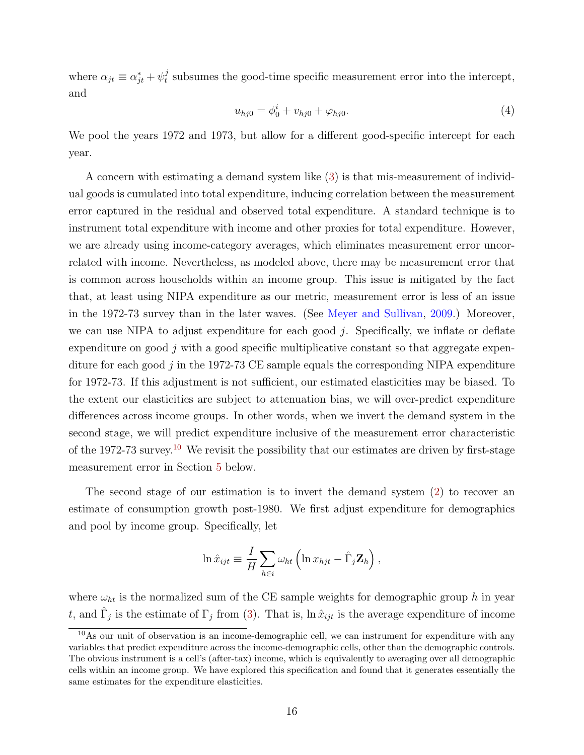where  $\alpha_{jt} \equiv \alpha_{jt}^* + \psi_t^j$  $t<sub>t</sub>$  subsumes the good-time specific measurement error into the intercept, and

$$
u_{hj0} = \phi_0^i + v_{hj0} + \varphi_{hj0}.\tag{4}
$$

We pool the years 1972 and 1973, but allow for a different good-specific intercept for each year.

A concern with estimating a demand system like [\(3\)](#page-15-0) is that mis-measurement of individual goods is cumulated into total expenditure, inducing correlation between the measurement error captured in the residual and observed total expenditure. A standard technique is to instrument total expenditure with income and other proxies for total expenditure. However, we are already using income-category averages, which eliminates measurement error uncorrelated with income. Nevertheless, as modeled above, there may be measurement error that is common across households within an income group. This issue is mitigated by the fact that, at least using NIPA expenditure as our metric, measurement error is less of an issue in the 1972-73 survey than in the later waves. (See [Meyer and Sullivan,](#page-28-14) [2009.](#page-28-14)) Moreover, we can use NIPA to adjust expenditure for each good  $j$ . Specifically, we inflate or deflate expenditure on good  $j$  with a good specific multiplicative constant so that aggregate expenditure for each good  $j$  in the 1972-73 CE sample equals the corresponding NIPA expenditure for 1972-73. If this adjustment is not sufficient, our estimated elasticities may be biased. To the extent our elasticities are subject to attenuation bias, we will over-predict expenditure differences across income groups. In other words, when we invert the demand system in the second stage, we will predict expenditure inclusive of the measurement error characteristic of the 1972-73 survey.[10](#page-16-0) We revisit the possibility that our estimates are driven by first-stage measurement error in Section [5](#page-21-0) below.

The second stage of our estimation is to invert the demand system [\(2\)](#page-15-1) to recover an estimate of consumption growth post-1980. We first adjust expenditure for demographics and pool by income group. Specifically, let

$$
\ln \hat{x}_{ijt} \equiv \frac{I}{H} \sum_{h \in i} \omega_{ht} \left( \ln x_{hjt} - \hat{\Gamma}_j \mathbf{Z}_h \right),
$$

where  $\omega_{ht}$  is the normalized sum of the CE sample weights for demographic group h in year t, and  $\hat{\Gamma}_j$  is the estimate of  $\Gamma_j$  from [\(3\)](#page-15-0). That is,  $\ln \hat{x}_{ijt}$  is the average expenditure of income

<span id="page-16-0"></span><sup>&</sup>lt;sup>10</sup>As our unit of observation is an income-demographic cell, we can instrument for expenditure with any variables that predict expenditure across the income-demographic cells, other than the demographic controls. The obvious instrument is a cell's (after-tax) income, which is equivalently to averaging over all demographic cells within an income group. We have explored this specification and found that it generates essentially the same estimates for the expenditure elasticities.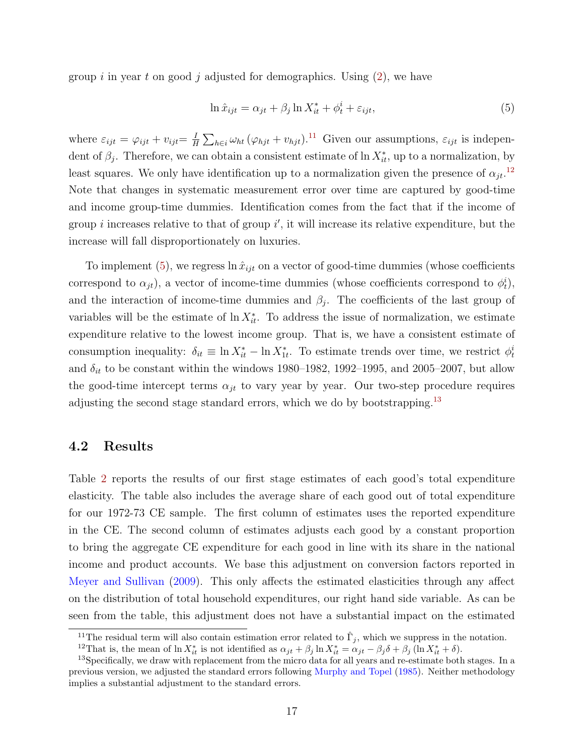group i in year t on good j adjusted for demographics. Using  $(2)$ , we have

<span id="page-17-2"></span>
$$
\ln \hat{x}_{ijt} = \alpha_{jt} + \beta_j \ln X_{it}^* + \phi_t^i + \varepsilon_{ijt},\tag{5}
$$

where  $\varepsilon_{ijt} = \varphi_{ijt} + v_{ijt} = \frac{I}{B}$  $\frac{I}{H} \sum_{h \in i} \omega_{ht} (\varphi_{hjt} + v_{hjt})$ <sup>[11](#page-17-0)</sup> Given our assumptions,  $\varepsilon_{ijt}$  is independent of  $\beta_j$ . Therefore, we can obtain a consistent estimate of  $\ln X^*_{it}$ , up to a normalization, by least squares. We only have identification up to a normalization given the presence of  $\alpha_{jt}$ <sup>[12](#page-17-1)</sup> Note that changes in systematic measurement error over time are captured by good-time and income group-time dummies. Identification comes from the fact that if the income of group *i* increases relative to that of group  $i'$ , it will increase its relative expenditure, but the increase will fall disproportionately on luxuries.

To implement [\(5\)](#page-17-2), we regress  $\ln \hat{x}_{ijt}$  on a vector of good-time dummies (whose coefficients correspond to  $\alpha_{jt}$ ), a vector of income-time dummies (whose coefficients correspond to  $\phi_t^i$ ), and the interaction of income-time dummies and  $\beta_j$ . The coefficients of the last group of variables will be the estimate of  $\ln X_{it}^*$ . To address the issue of normalization, we estimate expenditure relative to the lowest income group. That is, we have a consistent estimate of consumption inequality:  $\delta_{it} \equiv \ln X_{it}^* - \ln X_{1t}^*$ . To estimate trends over time, we restrict  $\phi_t^i$ and  $\delta_{it}$  to be constant within the windows 1980–1982, 1992–1995, and 2005–2007, but allow the good-time intercept terms  $\alpha_{jt}$  to vary year by year. Our two-step procedure requires adjusting the second stage standard errors, which we do by bootstrapping.<sup>[13](#page-17-3)</sup>

### 4.2 Results

Table [2](#page-31-0) reports the results of our first stage estimates of each good's total expenditure elasticity. The table also includes the average share of each good out of total expenditure for our 1972-73 CE sample. The first column of estimates uses the reported expenditure in the CE. The second column of estimates adjusts each good by a constant proportion to bring the aggregate CE expenditure for each good in line with its share in the national income and product accounts. We base this adjustment on conversion factors reported in [Meyer and Sullivan](#page-28-14) [\(2009\)](#page-28-14). This only affects the estimated elasticities through any affect on the distribution of total household expenditures, our right hand side variable. As can be seen from the table, this adjustment does not have a substantial impact on the estimated

<span id="page-17-0"></span><sup>&</sup>lt;sup>11</sup>The residual term will also contain estimation error related to  $\hat{\Gamma}_j$ , which we suppress in the notation.

<span id="page-17-3"></span><span id="page-17-1"></span><sup>&</sup>lt;sup>12</sup>That is, the mean of  $\ln X_{it}^*$  is not identified as  $\alpha_{jt} + \beta_j \ln X_{it}^* = \alpha_{jt} - \beta_j \delta + \beta_j (\ln X_{it}^* + \delta)$ .

<sup>&</sup>lt;sup>13</sup>Specifically, we draw with replacement from the micro data for all years and re-estimate both stages. In a previous version, we adjusted the standard errors following [Murphy and Topel](#page-28-15) [\(1985\)](#page-28-15). Neither methodology implies a substantial adjustment to the standard errors.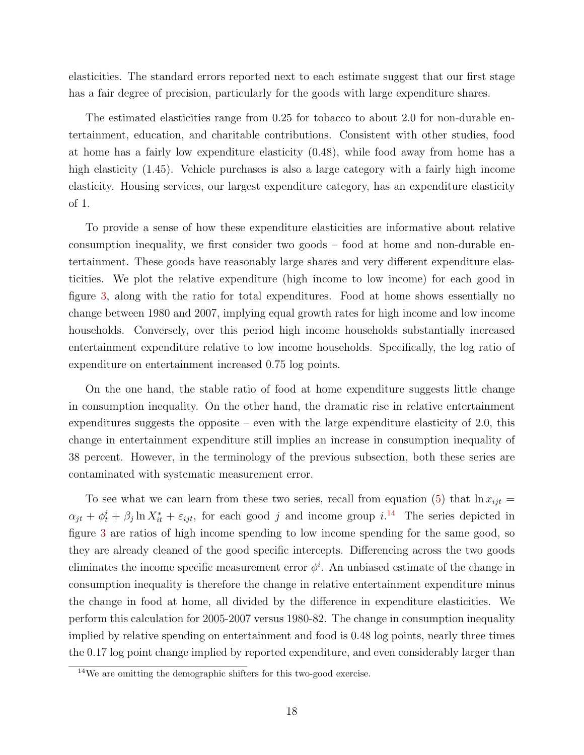elasticities. The standard errors reported next to each estimate suggest that our first stage has a fair degree of precision, particularly for the goods with large expenditure shares.

The estimated elasticities range from 0.25 for tobacco to about 2.0 for non-durable entertainment, education, and charitable contributions. Consistent with other studies, food at home has a fairly low expenditure elasticity (0.48), while food away from home has a high elasticity (1.45). Vehicle purchases is also a large category with a fairly high income elasticity. Housing services, our largest expenditure category, has an expenditure elasticity of 1.

To provide a sense of how these expenditure elasticities are informative about relative consumption inequality, we first consider two goods – food at home and non-durable entertainment. These goods have reasonably large shares and very different expenditure elasticities. We plot the relative expenditure (high income to low income) for each good in figure [3,](#page-37-0) along with the ratio for total expenditures. Food at home shows essentially no change between 1980 and 2007, implying equal growth rates for high income and low income households. Conversely, over this period high income households substantially increased entertainment expenditure relative to low income households. Specifically, the log ratio of expenditure on entertainment increased 0.75 log points.

On the one hand, the stable ratio of food at home expenditure suggests little change in consumption inequality. On the other hand, the dramatic rise in relative entertainment expenditures suggests the opposite – even with the large expenditure elasticity of 2.0, this change in entertainment expenditure still implies an increase in consumption inequality of 38 percent. However, in the terminology of the previous subsection, both these series are contaminated with systematic measurement error.

To see what we can learn from these two series, recall from equation [\(5\)](#page-17-2) that  $\ln x_{ijt} =$  $\alpha_{jt} + \phi_t^i + \beta_j \ln X_{it}^* + \varepsilon_{ijt}$ , for each good j and income group i.<sup>[14](#page-18-0)</sup> The series depicted in figure [3](#page-37-0) are ratios of high income spending to low income spending for the same good, so they are already cleaned of the good specific intercepts. Differencing across the two goods eliminates the income specific measurement error  $\phi^i$ . An unbiased estimate of the change in consumption inequality is therefore the change in relative entertainment expenditure minus the change in food at home, all divided by the difference in expenditure elasticities. We perform this calculation for 2005-2007 versus 1980-82. The change in consumption inequality implied by relative spending on entertainment and food is 0.48 log points, nearly three times the 0.17 log point change implied by reported expenditure, and even considerably larger than

<span id="page-18-0"></span><sup>14</sup>We are omitting the demographic shifters for this two-good exercise.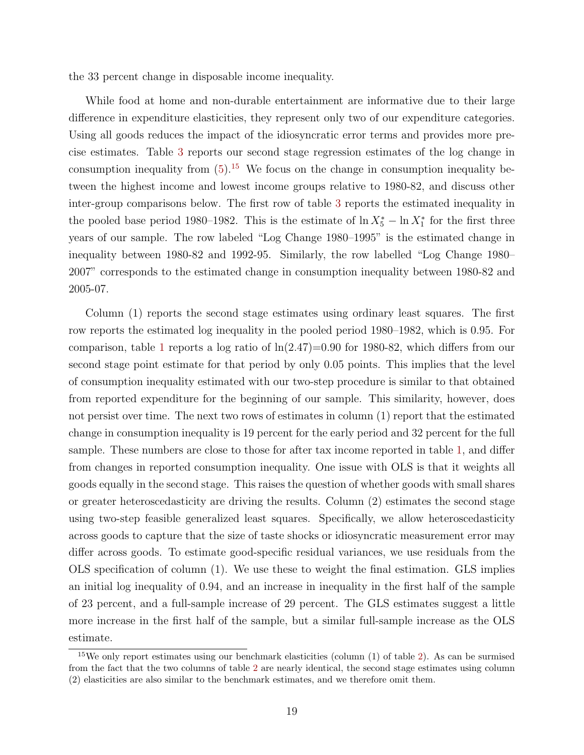the 33 percent change in disposable income inequality.

While food at home and non-durable entertainment are informative due to their large difference in expenditure elasticities, they represent only two of our expenditure categories. Using all goods reduces the impact of the idiosyncratic error terms and provides more precise estimates. Table [3](#page-32-0) reports our second stage regression estimates of the log change in consumption inequality from  $(5)$ .<sup>[15](#page-19-0)</sup> We focus on the change in consumption inequality between the highest income and lowest income groups relative to 1980-82, and discuss other inter-group comparisons below. The first row of table [3](#page-32-0) reports the estimated inequality in the pooled base period 1980–1982. This is the estimate of  $\ln X_5^* - \ln X_1^*$  for the first three years of our sample. The row labeled "Log Change 1980–1995" is the estimated change in inequality between 1980-82 and 1992-95. Similarly, the row labelled "Log Change 1980– 2007" corresponds to the estimated change in consumption inequality between 1980-82 and 2005-07.

Column (1) reports the second stage estimates using ordinary least squares. The first row reports the estimated log inequality in the pooled period 1980–1982, which is 0.95. For comparison, table [1](#page-30-0) reports a log ratio of  $\ln(2.47)=0.90$  for 1980-82, which differs from our second stage point estimate for that period by only 0.05 points. This implies that the level of consumption inequality estimated with our two-step procedure is similar to that obtained from reported expenditure for the beginning of our sample. This similarity, however, does not persist over time. The next two rows of estimates in column (1) report that the estimated change in consumption inequality is 19 percent for the early period and 32 percent for the full sample. These numbers are close to those for after tax income reported in table [1,](#page-30-0) and differ from changes in reported consumption inequality. One issue with OLS is that it weights all goods equally in the second stage. This raises the question of whether goods with small shares or greater heteroscedasticity are driving the results. Column (2) estimates the second stage using two-step feasible generalized least squares. Specifically, we allow heteroscedasticity across goods to capture that the size of taste shocks or idiosyncratic measurement error may differ across goods. To estimate good-specific residual variances, we use residuals from the OLS specification of column (1). We use these to weight the final estimation. GLS implies an initial log inequality of 0.94, and an increase in inequality in the first half of the sample of 23 percent, and a full-sample increase of 29 percent. The GLS estimates suggest a little more increase in the first half of the sample, but a similar full-sample increase as the OLS estimate.

<span id="page-19-0"></span> $15$ We only report estimates using our benchmark elasticities (column (1) of table [2\)](#page-31-0). As can be surmised from the fact that the two columns of table [2](#page-31-0) are nearly identical, the second stage estimates using column (2) elasticities are also similar to the benchmark estimates, and we therefore omit them.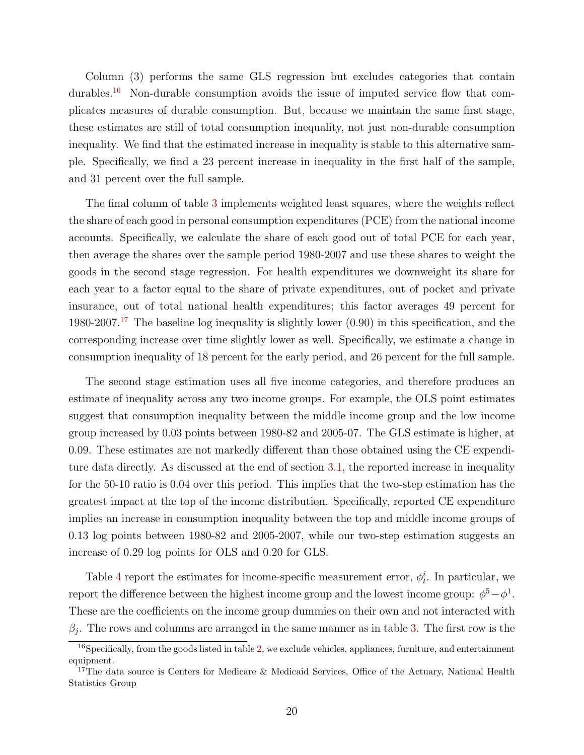Column (3) performs the same GLS regression but excludes categories that contain durables.<sup>[16](#page-20-0)</sup> Non-durable consumption avoids the issue of imputed service flow that complicates measures of durable consumption. But, because we maintain the same first stage, these estimates are still of total consumption inequality, not just non-durable consumption inequality. We find that the estimated increase in inequality is stable to this alternative sample. Specifically, we find a 23 percent increase in inequality in the first half of the sample, and 31 percent over the full sample.

The final column of table [3](#page-32-0) implements weighted least squares, where the weights reflect the share of each good in personal consumption expenditures (PCE) from the national income accounts. Specifically, we calculate the share of each good out of total PCE for each year, then average the shares over the sample period 1980-2007 and use these shares to weight the goods in the second stage regression. For health expenditures we downweight its share for each year to a factor equal to the share of private expenditures, out of pocket and private insurance, out of total national health expenditures; this factor averages 49 percent for 1980-2007.<sup>[17](#page-20-1)</sup> The baseline log inequality is slightly lower  $(0.90)$  in this specification, and the corresponding increase over time slightly lower as well. Specifically, we estimate a change in consumption inequality of 18 percent for the early period, and 26 percent for the full sample.

The second stage estimation uses all five income categories, and therefore produces an estimate of inequality across any two income groups. For example, the OLS point estimates suggest that consumption inequality between the middle income group and the low income group increased by 0.03 points between 1980-82 and 2005-07. The GLS estimate is higher, at 0.09. These estimates are not markedly different than those obtained using the CE expenditure data directly. As discussed at the end of section [3.1,](#page-10-1) the reported increase in inequality for the 50-10 ratio is 0.04 over this period. This implies that the two-step estimation has the greatest impact at the top of the income distribution. Specifically, reported CE expenditure implies an increase in consumption inequality between the top and middle income groups of 0.13 log points between 1980-82 and 2005-2007, while our two-step estimation suggests an increase of 0.29 log points for OLS and 0.20 for GLS.

Table [4](#page-33-0) report the estimates for income-specific measurement error,  $\phi_t^i$ . In particular, we report the difference between the highest income group and the lowest income group:  $\phi^5 - \phi^1$ . These are the coefficients on the income group dummies on their own and not interacted with  $\beta_j$ . The rows and columns are arranged in the same manner as in table [3.](#page-32-0) The first row is the

<span id="page-20-0"></span><sup>&</sup>lt;sup>16</sup>Specifically, from the goods listed in table [2,](#page-31-0) we exclude vehicles, appliances, furniture, and entertainment equipment.

<span id="page-20-1"></span><sup>&</sup>lt;sup>17</sup>The data source is Centers for Medicare & Medicaid Services, Office of the Actuary, National Health Statistics Group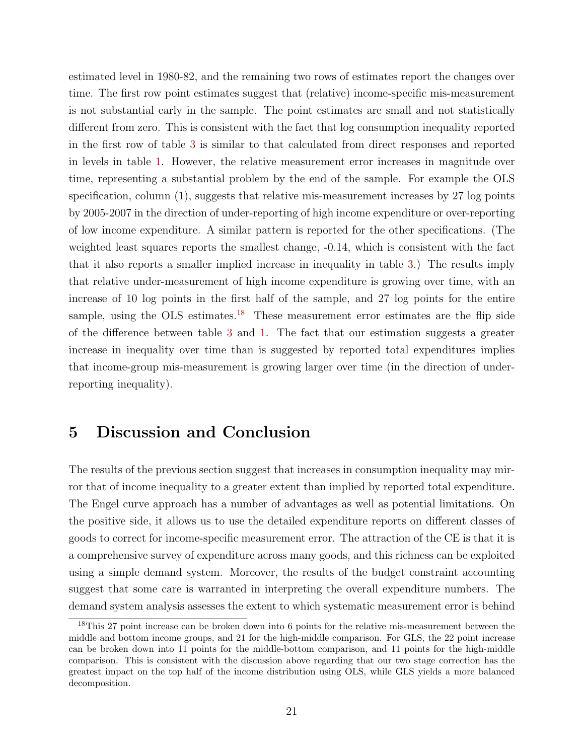estimated level in 1980-82, and the remaining two rows of estimates report the changes over time. The first row point estimates suggest that (relative) income-specific mis-measurement is not substantial early in the sample. The point estimates are small and not statistically different from zero. This is consistent with the fact that log consumption inequality reported in the first row of table [3](#page-32-0) is similar to that calculated from direct responses and reported in levels in table [1.](#page-30-0) However, the relative measurement error increases in magnitude over time, representing a substantial problem by the end of the sample. For example the OLS specification, column (1), suggests that relative mis-measurement increases by 27 log points by 2005-2007 in the direction of under-reporting of high income expenditure or over-reporting of low income expenditure. A similar pattern is reported for the other specifications. (The weighted least squares reports the smallest change, -0.14, which is consistent with the fact that it also reports a smaller implied increase in inequality in table [3.](#page-32-0)) The results imply that relative under-measurement of high income expenditure is growing over time, with an increase of 10 log points in the first half of the sample, and 27 log points for the entire sample, using the OLS estimates.<sup>[18](#page-21-1)</sup> These measurement error estimates are the flip side of the difference between table [3](#page-32-0) and [1.](#page-30-0) The fact that our estimation suggests a greater increase in inequality over time than is suggested by reported total expenditures implies that income-group mis-measurement is growing larger over time (in the direction of underreporting inequality).

## <span id="page-21-0"></span>5 Discussion and Conclusion

The results of the previous section suggest that increases in consumption inequality may mirror that of income inequality to a greater extent than implied by reported total expenditure. The Engel curve approach has a number of advantages as well as potential limitations. On the positive side, it allows us to use the detailed expenditure reports on different classes of goods to correct for income-specific measurement error. The attraction of the CE is that it is a comprehensive survey of expenditure across many goods, and this richness can be exploited using a simple demand system. Moreover, the results of the budget constraint accounting suggest that some care is warranted in interpreting the overall expenditure numbers. The demand system analysis assesses the extent to which systematic measurement error is behind

<span id="page-21-1"></span><sup>&</sup>lt;sup>18</sup>This 27 point increase can be broken down into 6 points for the relative mis-measurement between the middle and bottom income groups, and 21 for the high-middle comparison. For GLS, the 22 point increase can be broken down into 11 points for the middle-bottom comparison, and 11 points for the high-middle comparison. This is consistent with the discussion above regarding that our two stage correction has the greatest impact on the top half of the income distribution using OLS, while GLS yields a more balanced decomposition.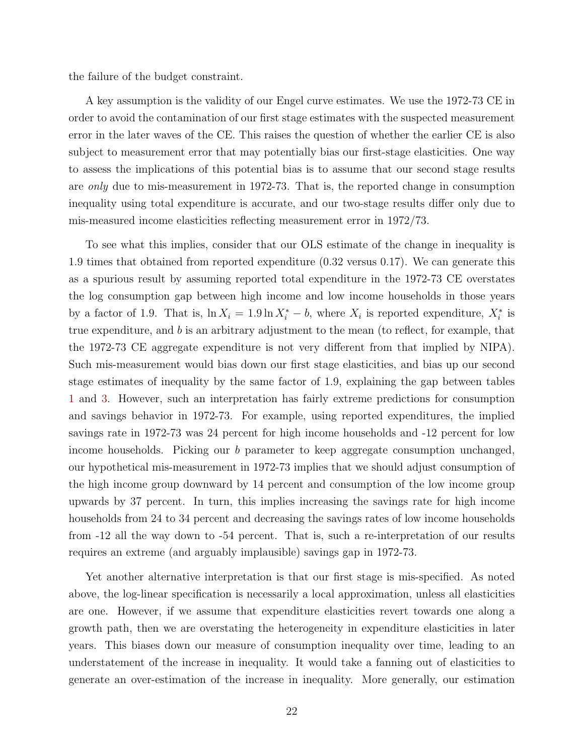the failure of the budget constraint.

A key assumption is the validity of our Engel curve estimates. We use the 1972-73 CE in order to avoid the contamination of our first stage estimates with the suspected measurement error in the later waves of the CE. This raises the question of whether the earlier CE is also subject to measurement error that may potentially bias our first-stage elasticities. One way to assess the implications of this potential bias is to assume that our second stage results are only due to mis-measurement in 1972-73. That is, the reported change in consumption inequality using total expenditure is accurate, and our two-stage results differ only due to mis-measured income elasticities reflecting measurement error in 1972/73.

To see what this implies, consider that our OLS estimate of the change in inequality is 1.9 times that obtained from reported expenditure (0.32 versus 0.17). We can generate this as a spurious result by assuming reported total expenditure in the 1972-73 CE overstates the log consumption gap between high income and low income households in those years by a factor of 1.9. That is,  $\ln X_i = 1.9 \ln X_i^* - b$ , where  $X_i$  is reported expenditure,  $X_i^*$  is true expenditure, and b is an arbitrary adjustment to the mean (to reflect, for example, that the 1972-73 CE aggregate expenditure is not very different from that implied by NIPA). Such mis-measurement would bias down our first stage elasticities, and bias up our second stage estimates of inequality by the same factor of 1.9, explaining the gap between tables [1](#page-30-0) and [3.](#page-32-0) However, such an interpretation has fairly extreme predictions for consumption and savings behavior in 1972-73. For example, using reported expenditures, the implied savings rate in 1972-73 was 24 percent for high income households and -12 percent for low income households. Picking our b parameter to keep aggregate consumption unchanged, our hypothetical mis-measurement in 1972-73 implies that we should adjust consumption of the high income group downward by 14 percent and consumption of the low income group upwards by 37 percent. In turn, this implies increasing the savings rate for high income households from 24 to 34 percent and decreasing the savings rates of low income households from -12 all the way down to -54 percent. That is, such a re-interpretation of our results requires an extreme (and arguably implausible) savings gap in 1972-73.

Yet another alternative interpretation is that our first stage is mis-specified. As noted above, the log-linear specification is necessarily a local approximation, unless all elasticities are one. However, if we assume that expenditure elasticities revert towards one along a growth path, then we are overstating the heterogeneity in expenditure elasticities in later years. This biases down our measure of consumption inequality over time, leading to an understatement of the increase in inequality. It would take a fanning out of elasticities to generate an over-estimation of the increase in inequality. More generally, our estimation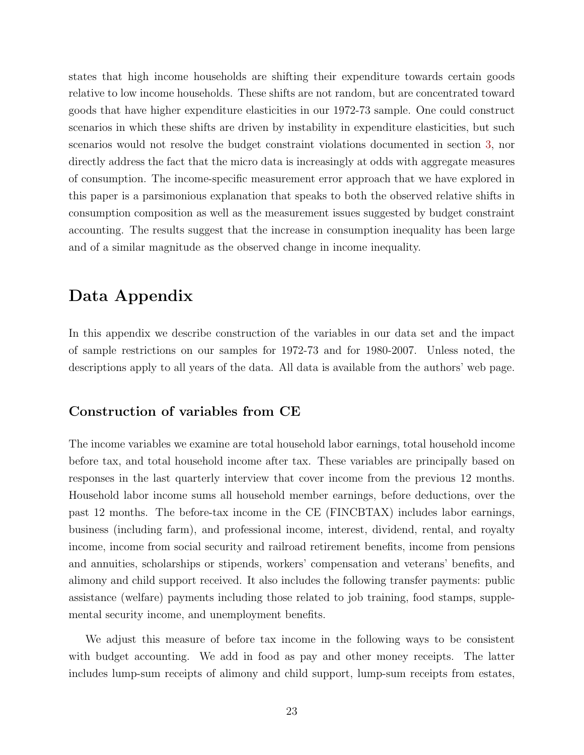states that high income households are shifting their expenditure towards certain goods relative to low income households. These shifts are not random, but are concentrated toward goods that have higher expenditure elasticities in our 1972-73 sample. One could construct scenarios in which these shifts are driven by instability in expenditure elasticities, but such scenarios would not resolve the budget constraint violations documented in section [3,](#page-10-0) nor directly address the fact that the micro data is increasingly at odds with aggregate measures of consumption. The income-specific measurement error approach that we have explored in this paper is a parsimonious explanation that speaks to both the observed relative shifts in consumption composition as well as the measurement issues suggested by budget constraint accounting. The results suggest that the increase in consumption inequality has been large and of a similar magnitude as the observed change in income inequality.

## Data Appendix

In this appendix we describe construction of the variables in our data set and the impact of sample restrictions on our samples for 1972-73 and for 1980-2007. Unless noted, the descriptions apply to all years of the data. All data is available from the authors' web page.

### Construction of variables from CE

The income variables we examine are total household labor earnings, total household income before tax, and total household income after tax. These variables are principally based on responses in the last quarterly interview that cover income from the previous 12 months. Household labor income sums all household member earnings, before deductions, over the past 12 months. The before-tax income in the CE (FINCBTAX) includes labor earnings, business (including farm), and professional income, interest, dividend, rental, and royalty income, income from social security and railroad retirement benefits, income from pensions and annuities, scholarships or stipends, workers' compensation and veterans' benefits, and alimony and child support received. It also includes the following transfer payments: public assistance (welfare) payments including those related to job training, food stamps, supplemental security income, and unemployment benefits.

We adjust this measure of before tax income in the following ways to be consistent with budget accounting. We add in food as pay and other money receipts. The latter includes lump-sum receipts of alimony and child support, lump-sum receipts from estates,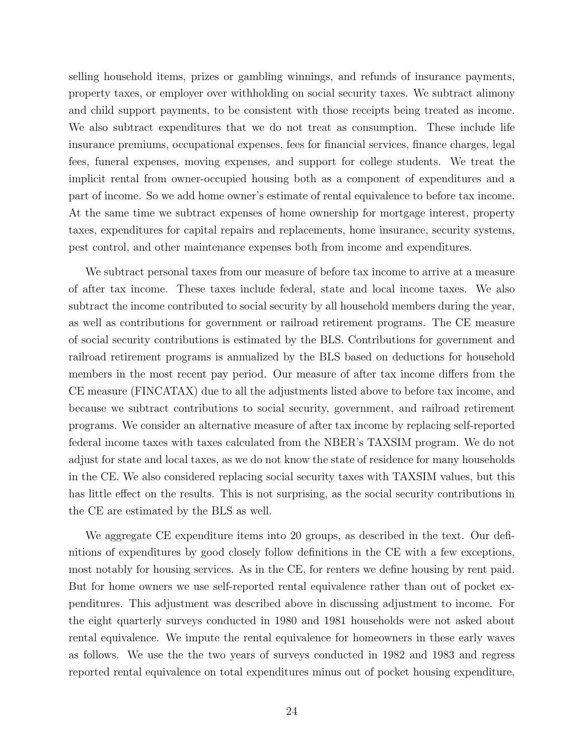selling household items, prizes or gambling winnings, and refunds of insurance payments, property taxes, or employer over withholding on social security taxes. We subtract alimony and child support payments, to be consistent with those receipts being treated as income. We also subtract expenditures that we do not treat as consumption. These include life insurance premiums, occupational expenses, fees for financial services, finance charges, legal fees, funeral expenses, moving expenses, and support for college students. We treat the implicit rental from owner-occupied housing both as a component of expenditures and a part of income. So we add home owner's estimate of rental equivalence to before tax income. At the same time we subtract expenses of home ownership for mortgage interest, property taxes, expenditures for capital repairs and replacements, home insurance, security systems, pest control, and other maintenance expenses both from income and expenditures.

We subtract personal taxes from our measure of before tax income to arrive at a measure of after tax income. These taxes include federal, state and local income taxes. We also subtract the income contributed to social security by all household members during the year, as well as contributions for government or railroad retirement programs. The CE measure of social security contributions is estimated by the BLS. Contributions for government and railroad retirement programs is annualized by the BLS based on deductions for household members in the most recent pay period. Our measure of after tax income differs from the CE measure (FINCATAX) due to all the adjustments listed above to before tax income, and because we subtract contributions to social security, government, and railroad retirement programs. We consider an alternative measure of after tax income by replacing self-reported federal income taxes with taxes calculated from the NBER's TAXSIM program. We do not adjust for state and local taxes, as we do not know the state of residence for many households in the CE. We also considered replacing social security taxes with TAXSIM values, but this has little effect on the results. This is not surprising, as the social security contributions in the CE are estimated by the BLS as well.

We aggregate CE expenditure items into 20 groups, as described in the text. Our definitions of expenditures by good closely follow definitions in the CE with a few exceptions, most notably for housing services. As in the CE, for renters we define housing by rent paid. But for home owners we use self-reported rental equivalence rather than out of pocket expenditures. This adjustment was described above in discussing adjustment to income. For the eight quarterly surveys conducted in 1980 and 1981 households were not asked about rental equivalence. We impute the rental equivalence for homeowners in these early waves as follows. We use the the two years of surveys conducted in 1982 and 1983 and regress reported rental equivalence on total expenditures minus out of pocket housing expenditure,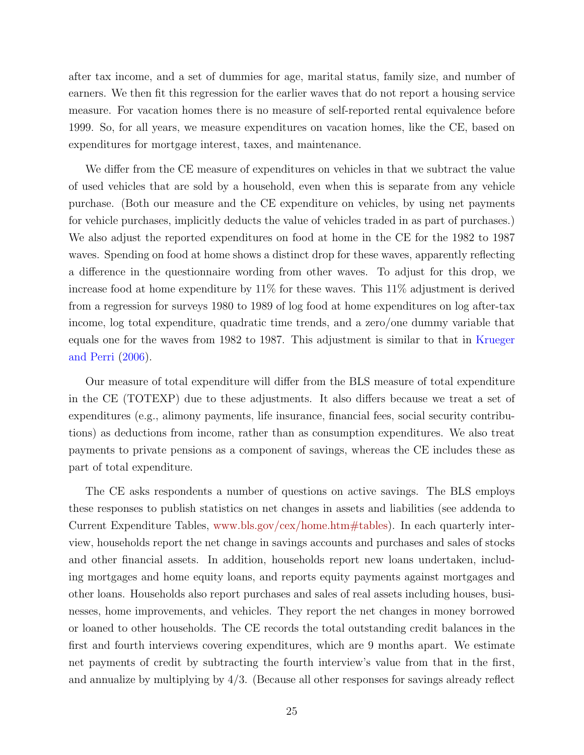after tax income, and a set of dummies for age, marital status, family size, and number of earners. We then fit this regression for the earlier waves that do not report a housing service measure. For vacation homes there is no measure of self-reported rental equivalence before 1999. So, for all years, we measure expenditures on vacation homes, like the CE, based on expenditures for mortgage interest, taxes, and maintenance.

We differ from the CE measure of expenditures on vehicles in that we subtract the value of used vehicles that are sold by a household, even when this is separate from any vehicle purchase. (Both our measure and the CE expenditure on vehicles, by using net payments for vehicle purchases, implicitly deducts the value of vehicles traded in as part of purchases.) We also adjust the reported expenditures on food at home in the CE for the 1982 to 1987 waves. Spending on food at home shows a distinct drop for these waves, apparently reflecting a difference in the questionnaire wording from other waves. To adjust for this drop, we increase food at home expenditure by 11% for these waves. This 11% adjustment is derived from a regression for surveys 1980 to 1989 of log food at home expenditures on log after-tax income, log total expenditure, quadratic time trends, and a zero/one dummy variable that equals one for the waves from 1982 to 1987. This adjustment is similar to that in [Krueger](#page-28-0) [and Perri](#page-28-0) [\(2006\)](#page-28-0).

Our measure of total expenditure will differ from the BLS measure of total expenditure in the CE (TOTEXP) due to these adjustments. It also differs because we treat a set of expenditures (e.g., alimony payments, life insurance, financial fees, social security contributions) as deductions from income, rather than as consumption expenditures. We also treat payments to private pensions as a component of savings, whereas the CE includes these as part of total expenditure.

The CE asks respondents a number of questions on active savings. The BLS employs these responses to publish statistics on net changes in assets and liabilities (see addenda to Current Expenditure Tables, [www.bls.gov/cex/home.htm#tables\)](http://www.bls.gov/cex/home.htm#tables). In each quarterly interview, households report the net change in savings accounts and purchases and sales of stocks and other financial assets. In addition, households report new loans undertaken, including mortgages and home equity loans, and reports equity payments against mortgages and other loans. Households also report purchases and sales of real assets including houses, businesses, home improvements, and vehicles. They report the net changes in money borrowed or loaned to other households. The CE records the total outstanding credit balances in the first and fourth interviews covering expenditures, which are 9 months apart. We estimate net payments of credit by subtracting the fourth interview's value from that in the first, and annualize by multiplying by 4/3. (Because all other responses for savings already reflect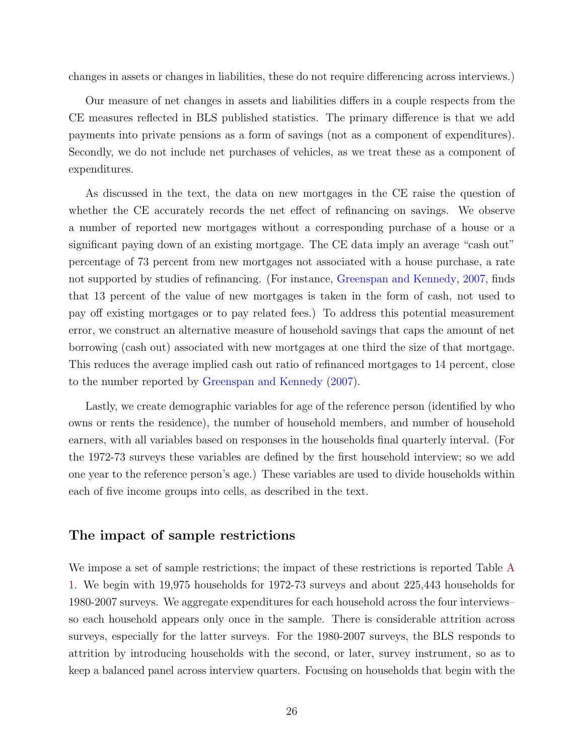changes in assets or changes in liabilities, these do not require differencing across interviews.)

Our measure of net changes in assets and liabilities differs in a couple respects from the CE measures reflected in BLS published statistics. The primary difference is that we add payments into private pensions as a form of savings (not as a component of expenditures). Secondly, we do not include net purchases of vehicles, as we treat these as a component of expenditures.

As discussed in the text, the data on new mortgages in the CE raise the question of whether the CE accurately records the net effect of refinancing on savings. We observe a number of reported new mortgages without a corresponding purchase of a house or a significant paying down of an existing mortgage. The CE data imply an average "cash out" percentage of 73 percent from new mortgages not associated with a house purchase, a rate not supported by studies of refinancing. (For instance, [Greenspan and Kennedy,](#page-28-13) [2007,](#page-28-13) finds that 13 percent of the value of new mortgages is taken in the form of cash, not used to pay off existing mortgages or to pay related fees.) To address this potential measurement error, we construct an alternative measure of household savings that caps the amount of net borrowing (cash out) associated with new mortgages at one third the size of that mortgage. This reduces the average implied cash out ratio of refinanced mortgages to 14 percent, close to the number reported by [Greenspan and Kennedy](#page-28-13) [\(2007\)](#page-28-13).

Lastly, we create demographic variables for age of the reference person (identified by who owns or rents the residence), the number of household members, and number of household earners, with all variables based on responses in the households final quarterly interval. (For the 1972-73 surveys these variables are defined by the first household interview; so we add one year to the reference person's age.) These variables are used to divide households within each of five income groups into cells, as described in the text.

### The impact of sample restrictions

We impose a set of sample restrictions; the impact of these restrictions is reported Table [A](#page-34-0) [1.](#page-34-0) We begin with 19,975 households for 1972-73 surveys and about 225,443 households for 1980-2007 surveys. We aggregate expenditures for each household across the four interviews– so each household appears only once in the sample. There is considerable attrition across surveys, especially for the latter surveys. For the 1980-2007 surveys, the BLS responds to attrition by introducing households with the second, or later, survey instrument, so as to keep a balanced panel across interview quarters. Focusing on households that begin with the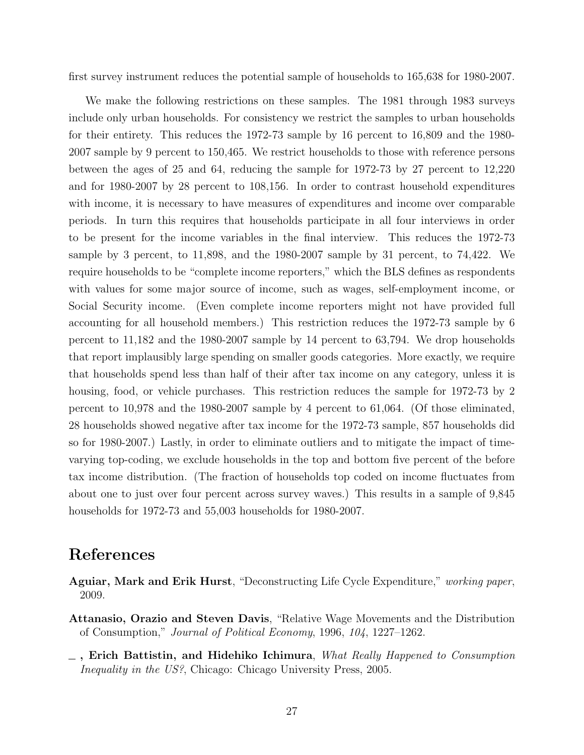first survey instrument reduces the potential sample of households to 165,638 for 1980-2007.

We make the following restrictions on these samples. The 1981 through 1983 surveys include only urban households. For consistency we restrict the samples to urban households for their entirety. This reduces the 1972-73 sample by 16 percent to 16,809 and the 1980- 2007 sample by 9 percent to 150,465. We restrict households to those with reference persons between the ages of 25 and 64, reducing the sample for 1972-73 by 27 percent to 12,220 and for 1980-2007 by 28 percent to 108,156. In order to contrast household expenditures with income, it is necessary to have measures of expenditures and income over comparable periods. In turn this requires that households participate in all four interviews in order to be present for the income variables in the final interview. This reduces the 1972-73 sample by 3 percent, to 11,898, and the 1980-2007 sample by 31 percent, to 74,422. We require households to be "complete income reporters," which the BLS defines as respondents with values for some major source of income, such as wages, self-employment income, or Social Security income. (Even complete income reporters might not have provided full accounting for all household members.) This restriction reduces the 1972-73 sample by 6 percent to 11,182 and the 1980-2007 sample by 14 percent to 63,794. We drop households that report implausibly large spending on smaller goods categories. More exactly, we require that households spend less than half of their after tax income on any category, unless it is housing, food, or vehicle purchases. This restriction reduces the sample for 1972-73 by 2 percent to 10,978 and the 1980-2007 sample by 4 percent to 61,064. (Of those eliminated, 28 households showed negative after tax income for the 1972-73 sample, 857 households did so for 1980-2007.) Lastly, in order to eliminate outliers and to mitigate the impact of timevarying top-coding, we exclude households in the top and bottom five percent of the before tax income distribution. (The fraction of households top coded on income fluctuates from about one to just over four percent across survey waves.) This results in a sample of 9,845 households for 1972-73 and 55,003 households for 1980-2007.

## References

- <span id="page-27-2"></span>Aguiar, Mark and Erik Hurst, "Deconstructing Life Cycle Expenditure," working paper, 2009.
- <span id="page-27-1"></span>Attanasio, Orazio and Steven Davis, "Relative Wage Movements and the Distribution of Consumption," Journal of Political Economy, 1996, 104, 1227–1262.
- <span id="page-27-0"></span> $\Box$ , Erich Battistin, and Hidehiko Ichimura, What Really Happened to Consumption Inequality in the US?, Chicago: Chicago University Press, 2005.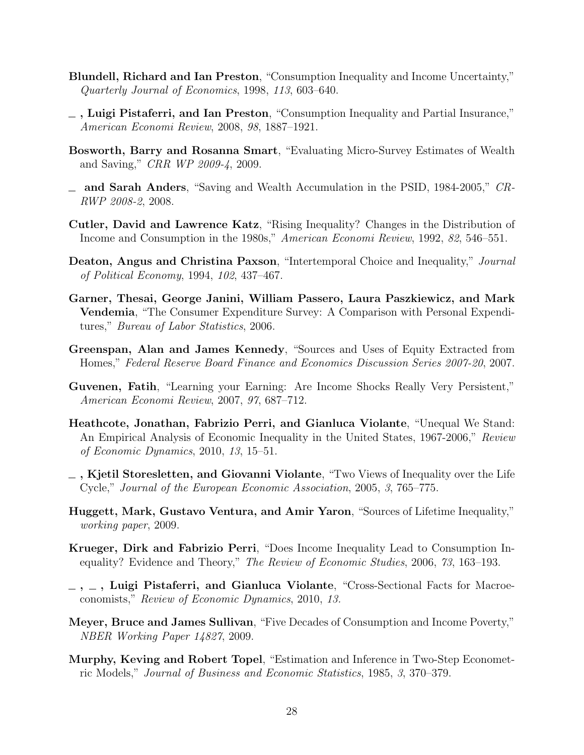- <span id="page-28-3"></span>Blundell, Richard and Ian Preston, "Consumption Inequality and Income Uncertainty," Quarterly Journal of Economics, 1998, 113, 603–640.
- <span id="page-28-4"></span> $\overline{\phantom{a}}$ , Luigi Pistaferri, and Ian Preston, "Consumption Inequality and Partial Insurance," American Economi Review, 2008, 98, 1887–1921.
- <span id="page-28-2"></span>Bosworth, Barry and Rosanna Smart, "Evaluating Micro-Survey Estimates of Wealth and Saving," CRR WP 2009-4, 2009.
- <span id="page-28-1"></span>and Sarah Anders, "Saving and Wealth Accumulation in the PSID, 1984-2005," CR-RWP 2008-2, 2008.
- <span id="page-28-7"></span>Cutler, David and Lawrence Katz, "Rising Inequality? Changes in the Distribution of Income and Consumption in the 1980s," American Economi Review, 1992, 82, 546–551.
- <span id="page-28-9"></span>Deaton, Angus and Christina Paxson, "Intertemporal Choice and Inequality," Journal of Political Economy, 1994, 102, 437–467.
- <span id="page-28-6"></span>Garner, Thesai, George Janini, William Passero, Laura Paszkiewicz, and Mark Vendemia, "The Consumer Expenditure Survey: A Comparison with Personal Expenditures," Bureau of Labor Statistics, 2006.
- <span id="page-28-13"></span>Greenspan, Alan and James Kennedy, "Sources and Uses of Equity Extracted from Homes," Federal Reserve Board Finance and Economics Discussion Series 2007-20, 2007.
- <span id="page-28-11"></span>Guvenen, Fatih, "Learning your Earning: Are Income Shocks Really Very Persistent," American Economi Review, 2007, 97, 687–712.
- <span id="page-28-5"></span>Heathcote, Jonathan, Fabrizio Perri, and Gianluca Violante, "Unequal We Stand: An Empirical Analysis of Economic Inequality in the United States, 1967-2006," Review of Economic Dynamics, 2010, 13, 15–51.
- <span id="page-28-10"></span> $\overline{\phantom{a}}$ , Kjetil Storesletten, and Giovanni Violante, "Two Views of Inequality over the Life Cycle," Journal of the European Economic Association, 2005, 3, 765–775.
- <span id="page-28-12"></span>Huggett, Mark, Gustavo Ventura, and Amir Yaron, "Sources of Lifetime Inequality," working paper, 2009.
- <span id="page-28-0"></span>Krueger, Dirk and Fabrizio Perri, "Does Income Inequality Lead to Consumption Inequality? Evidence and Theory," The Review of Economic Studies, 2006, 73, 163–193.
- <span id="page-28-8"></span> $\sim$ ,  $\sim$ , Luigi Pistaferri, and Gianluca Violante, "Cross-Sectional Facts for Macroeconomists," Review of Economic Dynamics, 2010, 13.
- <span id="page-28-14"></span>Meyer, Bruce and James Sullivan, "Five Decades of Consumption and Income Poverty," NBER Working Paper 14827, 2009.
- <span id="page-28-15"></span>Murphy, Keving and Robert Topel, "Estimation and Inference in Two-Step Econometric Models," Journal of Business and Economic Statistics, 1985, 3, 370–379.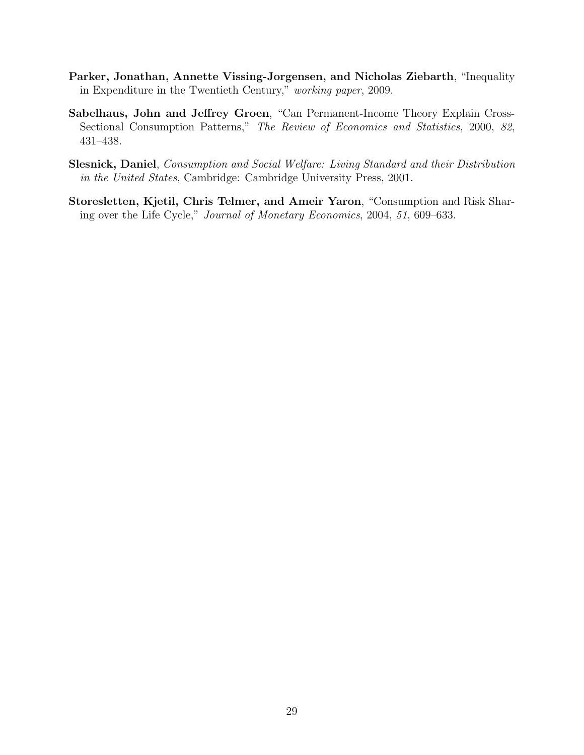- <span id="page-29-1"></span>Parker, Jonathan, Annette Vissing-Jorgensen, and Nicholas Ziebarth, "Inequality in Expenditure in the Twentieth Century," working paper, 2009.
- <span id="page-29-2"></span>Sabelhaus, John and Jeffrey Groen, "Can Permanent-Income Theory Explain Cross-Sectional Consumption Patterns," The Review of Economics and Statistics, 2000, 82, 431–438.
- <span id="page-29-0"></span>Slesnick, Daniel, Consumption and Social Welfare: Living Standard and their Distribution in the United States, Cambridge: Cambridge University Press, 2001.
- <span id="page-29-3"></span>Storesletten, Kjetil, Chris Telmer, and Ameir Yaron, "Consumption and Risk Sharing over the Life Cycle," Journal of Monetary Economics, 2004, 51, 609–633.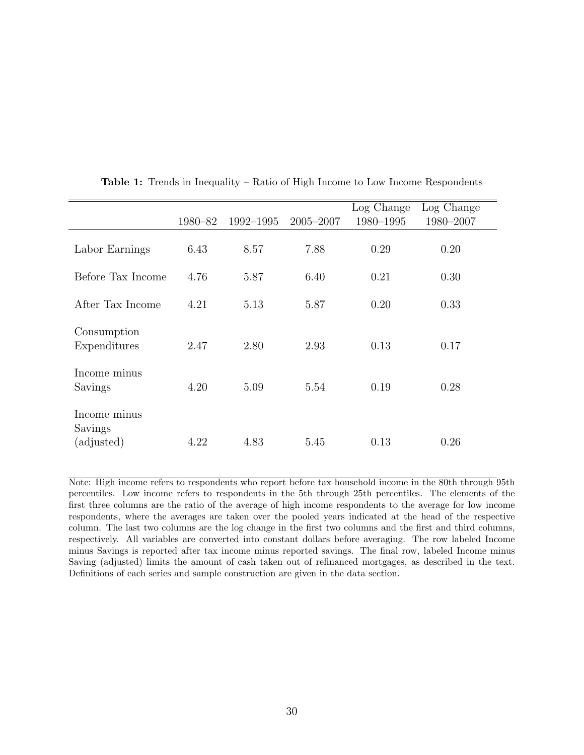<span id="page-30-0"></span>

|                             |         |           |               | Log Change | Log Change |
|-----------------------------|---------|-----------|---------------|------------|------------|
|                             | 1980–82 | 1992-1995 | $2005 - 2007$ | 1980-1995  | 1980-2007  |
|                             |         |           |               |            |            |
| Labor Earnings              | 6.43    | 8.57      | 7.88          | 0.29       | 0.20       |
| Before Tax Income           | 4.76    | 5.87      | 6.40          | 0.21       | 0.30       |
| After Tax Income            | 4.21    | 5.13      | 5.87          | 0.20       | 0.33       |
| Consumption<br>Expenditures | 2.47    | 2.80      | 2.93          | 0.13       | 0.17       |
|                             |         |           |               |            |            |
| Income minus<br>Savings     | 4.20    | 5.09      | 5.54          | 0.19       | 0.28       |
| Income minus<br>Savings     |         |           |               |            |            |
| (adjusted)                  | 4.22    | 4.83      | 5.45          | 0.13       | 0.26       |

Table 1: Trends in Inequality – Ratio of High Income to Low Income Respondents

Note: High income refers to respondents who report before tax household income in the 80th through 95th percentiles. Low income refers to respondents in the 5th through 25th percentiles. The elements of the first three columns are the ratio of the average of high income respondents to the average for low income respondents, where the averages are taken over the pooled years indicated at the head of the respective column. The last two columns are the log change in the first two columns and the first and third columns, respectively. All variables are converted into constant dollars before averaging. The row labeled Income minus Savings is reported after tax income minus reported savings. The final row, labeled Income minus Saving (adjusted) limits the amount of cash taken out of refinanced mortgages, as described in the text. Definitions of each series and sample construction are given in the data section.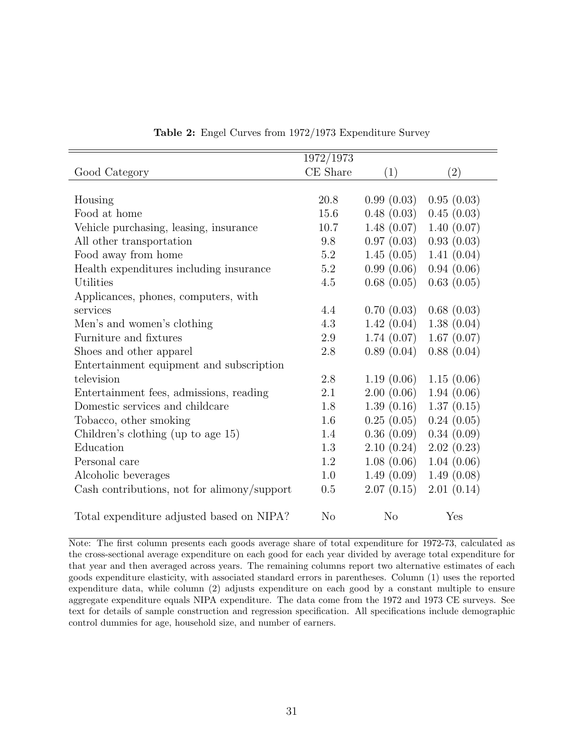<span id="page-31-0"></span>

|                                             | 1972/1973      |                |            |
|---------------------------------------------|----------------|----------------|------------|
| Good Category                               | CE Share       | (1)            | (2)        |
|                                             |                |                |            |
| Housing                                     | 20.8           | 0.99(0.03)     | 0.95(0.03) |
| Food at home                                | 15.6           | 0.48(0.03)     | 0.45(0.03) |
| Vehicle purchasing, leasing, insurance      | 10.7           | 1.48(0.07)     | 1.40(0.07) |
| All other transportation                    | 9.8            | 0.97(0.03)     | 0.93(0.03) |
| Food away from home                         | 5.2            | 1.45(0.05)     | 1.41(0.04) |
| Health expenditures including insurance     | $5.2\,$        | 0.99(0.06)     | 0.94(0.06) |
| Utilities                                   | 4.5            | 0.68(0.05)     | 0.63(0.05) |
| Applicances, phones, computers, with        |                |                |            |
| services                                    | 4.4            | 0.70(0.03)     | 0.68(0.03) |
| Men's and women's clothing                  | 4.3            | 1.42(0.04)     | 1.38(0.04) |
| Furniture and fixtures                      | 2.9            | 1.74(0.07)     | 1.67(0.07) |
| Shoes and other apparel                     | 2.8            | 0.89(0.04)     | 0.88(0.04) |
| Entertainment equipment and subscription    |                |                |            |
| television                                  | 2.8            | 1.19(0.06)     | 1.15(0.06) |
| Entertainment fees, admissions, reading     | 2.1            | 2.00(0.06)     | 1.94(0.06) |
| Domestic services and childcare             | 1.8            | 1.39(0.16)     | 1.37(0.15) |
| Tobacco, other smoking                      | 1.6            | 0.25(0.05)     | 0.24(0.05) |
| Children's clothing (up to age 15)          | 1.4            | 0.36(0.09)     | 0.34(0.09) |
| Education                                   | 1.3            | 2.10(0.24)     | 2.02(0.23) |
| Personal care                               | 1.2            | 1.08(0.06)     | 1.04(0.06) |
| Alcoholic beverages                         | 1.0            | 1.49(0.09)     | 1.49(0.08) |
| Cash contributions, not for alimony/support | 0.5            | 2.07(0.15)     | 2.01(0.14) |
| Total expenditure adjusted based on NIPA?   | N <sub>o</sub> | N <sub>o</sub> | Yes        |

Table 2: Engel Curves from 1972/1973 Expenditure Survey

Note: The first column presents each goods average share of total expenditure for 1972-73, calculated as the cross-sectional average expenditure on each good for each year divided by average total expenditure for that year and then averaged across years. The remaining columns report two alternative estimates of each goods expenditure elasticity, with associated standard errors in parentheses. Column (1) uses the reported expenditure data, while column (2) adjusts expenditure on each good by a constant multiple to ensure aggregate expenditure equals NIPA expenditure. The data come from the 1972 and 1973 CE surveys. See text for details of sample construction and regression specification. All specifications include demographic control dummies for age, household size, and number of earners.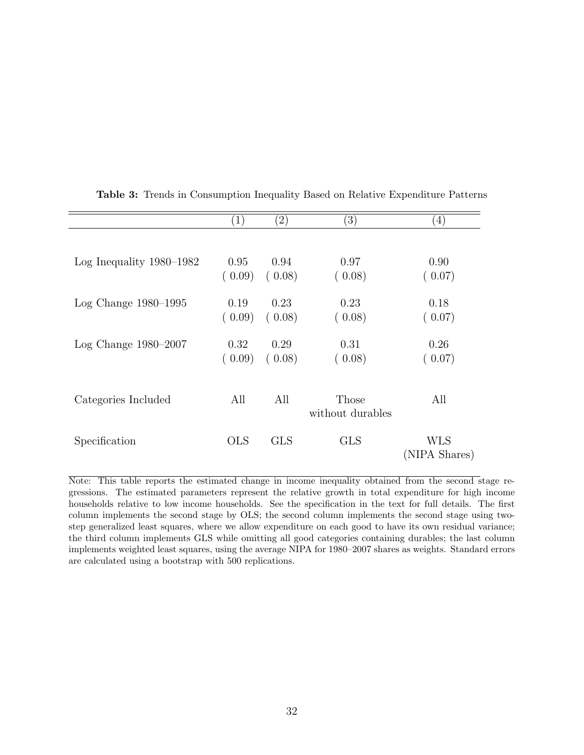|                            | $\left( 1\right)$ | $\left( 2\right)$ | (3)                       | (4)           |
|----------------------------|-------------------|-------------------|---------------------------|---------------|
|                            |                   |                   |                           |               |
| Log Inequality $1980-1982$ | 0.95              | 0.94              | 0.97                      | 0.90          |
|                            | (0.09)            | (0.08)            | (0.08)                    | (0.07)        |
| Log Change $1980-1995$     | 0.19              | 0.23              | 0.23                      | 0.18          |
|                            | (0.09)            | (0.08)            | (0.08)                    | (0.07)        |
| Log Change $1980-2007$     | 0.32              | 0.29              | 0.31                      | 0.26          |
|                            | (0.09)            | (0.08)            | (0.08)                    | (0.07)        |
|                            |                   |                   |                           |               |
| Categories Included        | All               | All               | Those<br>without durables | All           |
|                            |                   |                   |                           |               |
| Specification              | <b>OLS</b>        | <b>GLS</b>        | <b>GLS</b>                | WLS           |
|                            |                   |                   |                           | (NIPA Shares) |

<span id="page-32-0"></span>Table 3: Trends in Consumption Inequality Based on Relative Expenditure Patterns

Note: This table reports the estimated change in income inequality obtained from the second stage regressions. The estimated parameters represent the relative growth in total expenditure for high income households relative to low income households. See the specification in the text for full details. The first column implements the second stage by OLS; the second column implements the second stage using twostep generalized least squares, where we allow expenditure on each good to have its own residual variance; the third column implements GLS while omitting all good categories containing durables; the last column implements weighted least squares, using the average NIPA for 1980–2007 shares as weights. Standard errors are calculated using a bootstrap with 500 replications.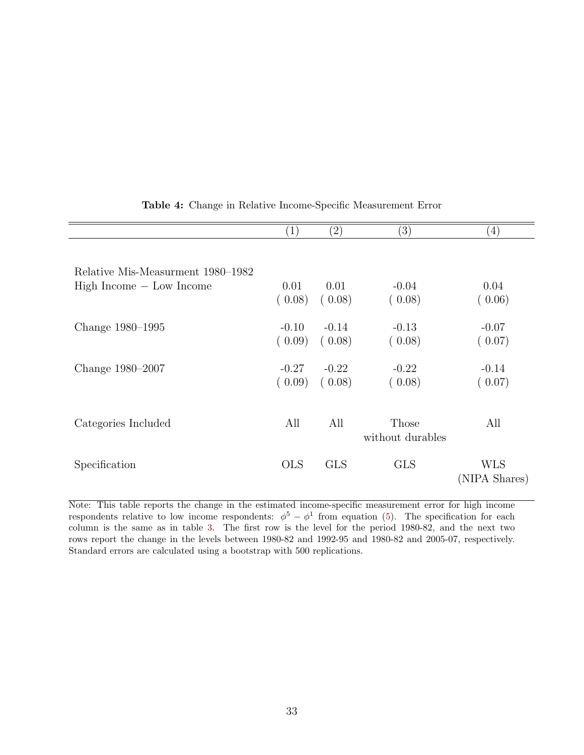<span id="page-33-0"></span>

|                                   | $\left( 1\right)$ | $\left( 2\right)$ | $\left( 3\right)$         | (4)                  |
|-----------------------------------|-------------------|-------------------|---------------------------|----------------------|
| Relative Mis-Measurment 1980–1982 |                   |                   |                           |                      |
| $High Income - Low Income$        | 0.01<br>(0.08)    | 0.01<br>(0.08)    | $-0.04$<br>(0.08)         | 0.04<br>(0.06)       |
| Change 1980–1995                  | $-0.10$<br>(0.09) | $-0.14$<br>(0.08) | $-0.13$<br>(0.08)         | $-0.07$<br>(0.07)    |
| Change 1980–2007                  | $-0.27$<br>(0.09) | $-0.22$<br>(0.08) | $-0.22$<br>(0.08)         | $-0.14$<br>(0.07)    |
| Categories Included               | All               | All               | Those<br>without durables | All                  |
| Specification                     | <b>OLS</b>        | <b>GLS</b>        | <b>GLS</b>                | WLS<br>(NIPA Shares) |

Table 4: Change in Relative Income-Specific Measurement Error

Note: This table reports the change in the estimated income-specific measurement error for high income respondents relative to low income respondents:  $\phi^5 - \phi^1$  from equation [\(5\)](#page-17-2). The specification for each column is the same as in table [3.](#page-32-0) The first row is the level for the period 1980-82, and the next two rows report the change in the levels between 1980-82 and 1992-95 and 1980-82 and 2005-07, respectively. Standard errors are calculated using a bootstrap with 500 replications.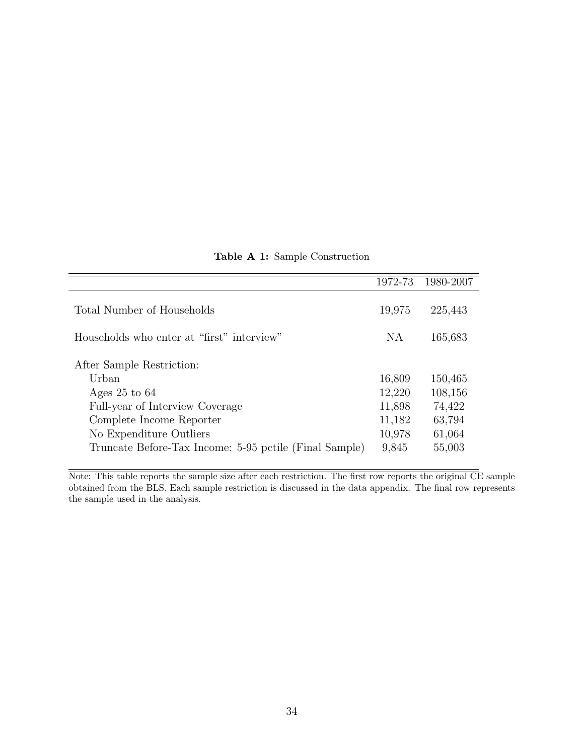<span id="page-34-0"></span>

|                                                        | 1972-73 | 1980-2007 |
|--------------------------------------------------------|---------|-----------|
| Total Number of Households                             | 19,975  | 225,443   |
| Households who enter at "first" interview"             | NA      | 165,683   |
| After Sample Restriction:                              |         |           |
| Urban                                                  | 16,809  | 150,465   |
| Ages $25$ to $64$                                      | 12,220  | 108,156   |
| Full-year of Interview Coverage                        | 11,898  | 74,422    |
| Complete Income Reporter                               | 11,182  | 63,794    |
| No Expenditure Outliers                                | 10,978  | 61,064    |
| Truncate Before-Tax Income: 5-95 pctile (Final Sample) | 9,845   | 55,003    |

Table A 1: Sample Construction

Note: This table reports the sample size after each restriction. The first row reports the original CE sample obtained from the BLS. Each sample restriction is discussed in the data appendix. The final row represents the sample used in the analysis.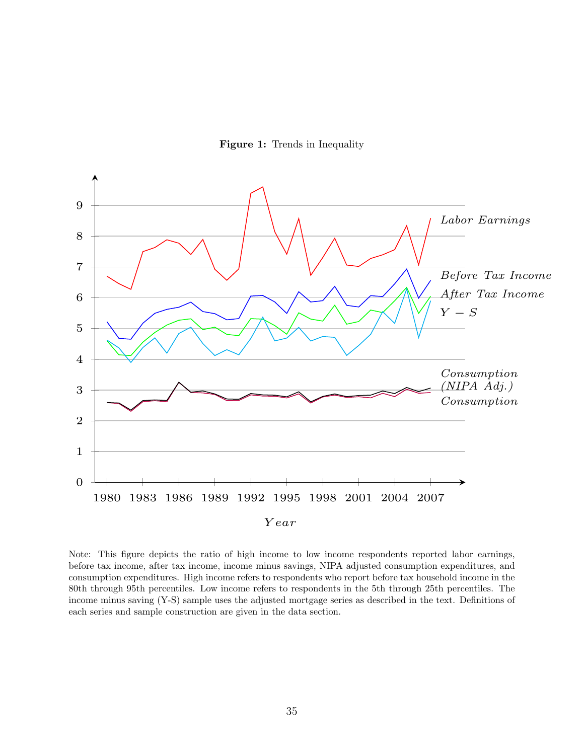Figure 1: Trends in Inequality

<span id="page-35-0"></span>

Note: This figure depicts the ratio of high income to low income respondents reported labor earnings, before tax income, after tax income, income minus savings, NIPA adjusted consumption expenditures, and consumption expenditures. High income refers to respondents who report before tax household income in the 80th through 95th percentiles. Low income refers to respondents in the 5th through 25th percentiles. The income minus saving (Y-S) sample uses the adjusted mortgage series as described in the text. Definitions of each series and sample construction are given in the data section.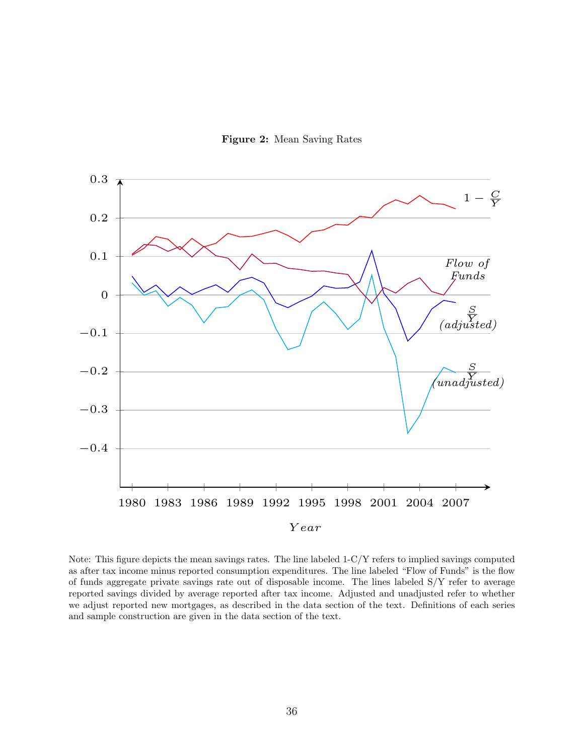

<span id="page-36-0"></span>

Note: This figure depicts the mean savings rates. The line labeled 1-C/Y refers to implied savings computed as after tax income minus reported consumption expenditures. The line labeled "Flow of Funds" is the flow of funds aggregate private savings rate out of disposable income. The lines labeled S/Y refer to average reported savings divided by average reported after tax income. Adjusted and unadjusted refer to whether we adjust reported new mortgages, as described in the data section of the text. Definitions of each series and sample construction are given in the data section of the text.